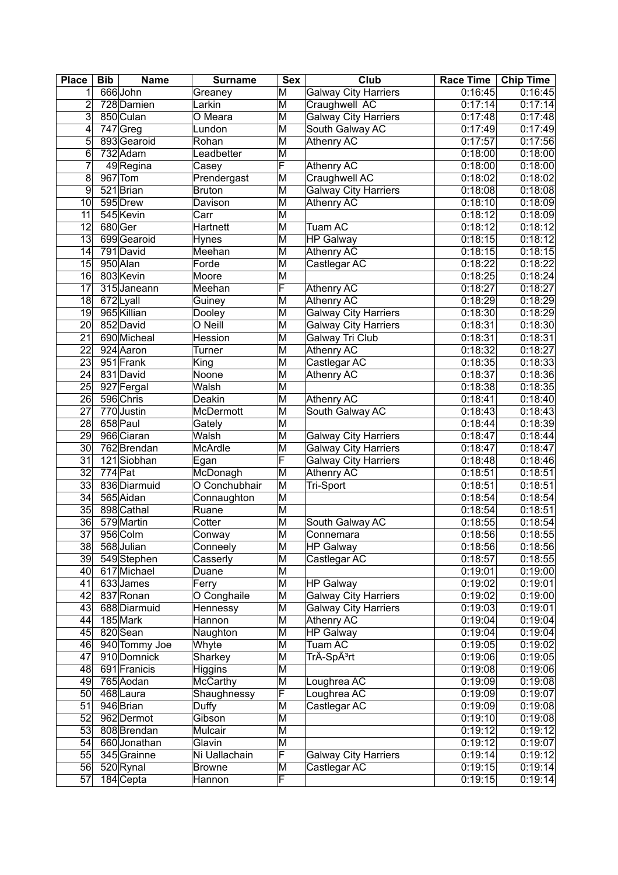| <b>Place</b>    | <b>Bib</b> | <b>Name</b>            | <b>Surname</b>       | <b>Sex</b>              | $C$ <sub>Iub</sub>          | <b>Race Time</b> | <b>Chip Time</b> |
|-----------------|------------|------------------------|----------------------|-------------------------|-----------------------------|------------------|------------------|
| 1 <sup>1</sup>  |            | 666 John               | Greaney              | M                       | <b>Galway City Harriers</b> | 0:16:45          | 0:16:45          |
| $\overline{2}$  |            | 728 Damien             | Larkin               | $\overline{\mathsf{M}}$ | Craughwell AC               | 0:17:14          | 0:17:14          |
| 3               |            | 850 Culan              | $\overline{O}$ Meara | M                       | <b>Galway City Harriers</b> | 0:17:48          | 0:17:48          |
| $\overline{4}$  |            | $747$ Greg             | Lundon               | $\overline{\mathsf{M}}$ | South Galway AC             | 0:17:49          | 0:17:49          |
| $\overline{5}$  |            | 893 Gearoid            | Rohan                | $\overline{\mathsf{M}}$ | Athenry AC                  | 0:17:57          | 0:17:56          |
| 6               |            | 732 Adam               | Leadbetter           | $\overline{\mathsf{M}}$ |                             | 0:18:00          | 0:18:00          |
| $\overline{7}$  |            | $\overline{49}$ Regina | Casey                | F                       | Athenry AC                  | 0:18:00          | 0:18:00          |
| 8               |            | $967$ Tom              | Prendergast          | M                       | Craughwell AC               | 0:18:02          | 0:18:02          |
| 9               |            | 521 Brian              | <b>Bruton</b>        | M                       | <b>Galway City Harriers</b> | 0:18:08          | 0:18:08          |
| 10              |            | 595 Drew               | Davison              | $\overline{\mathsf{M}}$ | <b>Athenry AC</b>           | 0:18:10          | 0:18:09          |
| 11              |            | 545 Kevin              | Carr                 | M                       |                             | 0:18:12          | 0:18:09          |
| $\overline{12}$ | 680 Ger    |                        | Hartnett             | $\overline{\mathsf{M}}$ | <b>Tuam AC</b>              | 0:18:12          | 0:18:12          |
| 13              |            | 699 Gearoid            | <b>Hynes</b>         | M                       | <b>HP Galway</b>            | 0:18:15          | 0:18:12          |
| 14              |            | 791 David              | Meehan               | $\overline{\mathsf{M}}$ | <b>Athenry AC</b>           | 0:18:15          | 0:18:15          |
| 15              |            | 950 Alan               | Forde                | $\overline{\mathsf{M}}$ | Castlegar AC                | 0:18:22          | 0:18:22          |
| 16              |            | 803 Kevin              | Moore                | $\overline{\mathsf{M}}$ |                             | 0:18:25          | 0:18:24          |
| 17              |            | 315 Janeann            | Meehan               | F                       | Athenry AC                  | 0:18:27          | 0:18:27          |
| 18              |            | 672 Lyall              | Guiney               | $\overline{\mathsf{M}}$ | <b>Athenry AC</b>           | 0:18:29          | 0:18:29          |
| 19              |            | 965 Killian            |                      | $\overline{\mathsf{M}}$ |                             | 0:18:30          |                  |
|                 |            |                        | Dooley               |                         | <b>Galway City Harriers</b> |                  | 0:18:29          |
| $\overline{20}$ |            | 852 David              | O Neill              | $\overline{\mathsf{M}}$ | <b>Galway City Harriers</b> | 0:18:31          | 0:18:30          |
| 21              |            | 690 Micheal            | Hession              | M                       | Galway Tri Club             | 0:18:31          | 0:18:31          |
| $\overline{22}$ |            | 924 Aaron              | Turner               | $\overline{\mathsf{M}}$ | <b>Athenry AC</b>           | 0:18:32          | 0:18:27          |
| $\overline{23}$ |            | 951 Frank              | King                 | $\overline{\mathsf{M}}$ | Castlegar AC                | 0:18:35          | 0:18:33          |
| $\overline{24}$ |            | 831 David              | Noone                | $\overline{\mathsf{M}}$ | <b>Athenry AC</b>           | 0:18:37          | 0:18:36          |
| $\overline{25}$ |            | 927 Fergal             | Walsh                | $\overline{\mathsf{M}}$ |                             | 0:18:38          | 0:18:35          |
| $\overline{26}$ |            | 596 Chris              | Deakin               | $\overline{\mathsf{M}}$ | <b>Athenry AC</b>           | 0:18:41          | 0:18:40          |
| $\overline{27}$ |            | 770 Justin             | <b>McDermott</b>     | M                       | South Galway AC             | 0:18:43          | 0:18:43          |
| 28              |            | 658 Paul               | Gately               | $\overline{\mathsf{M}}$ |                             | 0:18:44          | 0:18:39          |
| 29              |            | 966 Ciaran             | Walsh                | M                       | <b>Galway City Harriers</b> | 0:18:47          | 0:18:44          |
| 30              |            | 762 Brendan            | <b>McArdle</b>       | $\overline{\mathsf{M}}$ | <b>Galway City Harriers</b> | 0:18:47          | 0:18:47          |
| 31              |            | 121Siobhan             | Egan                 | F                       | <b>Galway City Harriers</b> | 0:18:48          | 0:18:46          |
| 32              | $774$ Pat  |                        | McDonagh             | M                       | <b>Athenry AC</b>           | 0:18:51          | 0:18:51          |
| 33              |            | 836 Diarmuid           | O Conchubhair        | M                       | Tri-Sport                   | 0:18:51          | 0:18:51          |
| 34              |            | 565 Aidan              | Connaughton          | M                       |                             | 0:18:54          | 0:18:54          |
| 35              |            | 898 Cathal             | Ruane                | M                       |                             | 0:18:54          | 0:18:51          |
| 36              |            | 579 Martin             | Cotter               | M                       | South Galway AC             | 0:18:55          | 0:18:54          |
| $\overline{37}$ |            | 956 Colm               | Conway               | $\overline{\mathsf{M}}$ | Connemara                   | 0:18:56          | 0:18:55          |
| 38              |            | 568 Julian             | Conneely             | M                       | <b>HP Galway</b>            | 0:18:56          | 0:18:56          |
| 39              |            | 549 Stephen            | Casserly             | $\overline{\mathsf{M}}$ | Castlegar AC                | 0:18:57          | 0:18:55          |
| 40 <sub>l</sub> |            | 617 Michael            | Duane                | $\overline{\mathsf{M}}$ |                             | 0:19:01          | 0:19:00          |
| 41              |            | 633James               | Ferry                | $\overline{\mathsf{M}}$ | <b>HP Galway</b>            | 0:19:02          | 0:19:01          |
| 42              |            | 837 Ronan              | O Conghaile          | M                       | <b>Galway City Harriers</b> | 0:19:02          | 0:19:00          |
| 43              |            | 688 Diarmuid           | Hennessy             | M                       | <b>Galway City Harriers</b> | 0:19:03          | 0:19:01          |
| 44              |            | 185 Mark               | Hannon               | M                       | <b>Athenry AC</b>           | 0:19:04          | 0:19:04          |
| 45              |            | 820 Sean               | Naughton             | M                       | <b>HP Galway</b>            | 0:19:04          | 0:19:04          |
| 46              |            | 940 Tommy Joe          | Whyte                | M                       | Tuam AC                     | 0:19:05          | 0:19:02          |
| 47              |            | 910 Domnick            | Sharkey              | M                       | TrÃ-Spêrt                   | 0:19:06          | 0:19:05          |
| 48              |            | 691 Franicis           | Higgins              | M                       |                             | 0:19:08          | 0:19:06          |
| 49              |            | 765 Aodan              | McCarthy             | $\overline{\mathsf{M}}$ | Loughrea AC                 | 0:19:09          | 0:19:08          |
| 50              |            | 468 Laura              | Shaughnessy          | F                       | Loughrea AC                 | 0:19:09          | 0:19:07          |
| 51              |            | $946$ Brian            | Duffy                | M                       | Castlegar AC                | 0:19:09          | 0:19:08          |
| 52              |            | 962 Dermot             | Gibson               | M                       |                             | 0:19:10          | 0:19:08          |
| 53              |            | 808 Brendan            | Mulcair              | $\overline{\mathsf{M}}$ |                             | 0:19:12          | 0:19:12          |
| 54              |            | 660 Jonathan           | Glavin               | $\overline{\mathsf{M}}$ |                             | 0:19:12          | 0:19:07          |
|                 |            |                        |                      | F                       |                             |                  |                  |
| 55              |            | 345 Grainne            | Ni Uallachain        |                         | <b>Galway City Harriers</b> | 0:19:14          | 0:19:12          |
| 56              |            | 520 Rynal              | <b>Browne</b>        | M                       | Castlegar AC                | 0:19:15          | 0:19:14          |
| $\overline{57}$ |            | $184$ Cepta            | Hannon               | F                       |                             | 0:19:15          | 0:19:14          |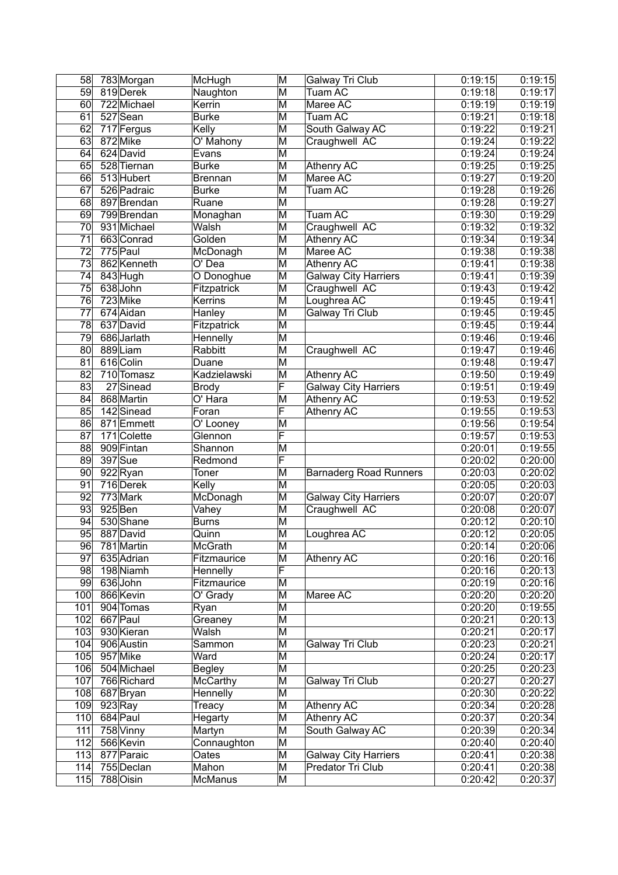| 58              | 783 Morgan  | McHugh             | M                       | Galway Tri Club               | 0:19:15 | 0:19:15 |
|-----------------|-------------|--------------------|-------------------------|-------------------------------|---------|---------|
| 59              | 819 Derek   | Naughton           | M                       | Tuam AC                       | 0:19:18 | 0:19:17 |
| 60              | 722 Michael | Kerrin             | $\overline{\mathsf{M}}$ | Maree AC                      | 0:19:19 | 0:19:19 |
| 61              | 527 Sean    | <b>Burke</b>       | M                       | Tuam AC                       | 0:19:21 | 0:19:18 |
| 62              | 717 Fergus  | Kelly              | $\overline{\mathsf{M}}$ | South Galway AC               | 0:19:22 | 0:19:21 |
| 63              | 872 Mike    | O' Mahony          | M                       | Craughwell AC                 | 0:19:24 | 0:19:22 |
| 64              | 624 David   | Evans              | M                       |                               | 0:19:24 | 0:19:24 |
| 65              | 528 Tiernan | <b>Burke</b>       | $\overline{\mathsf{M}}$ | Athenry AC                    | 0:19:25 | 0:19:25 |
| 66              | 513 Hubert  | <b>Brennan</b>     | M                       | Maree AC                      | 0:19:27 | 0:19:20 |
| 67              | 526 Padraic | <b>Burke</b>       | M                       | Tuam AC                       | 0:19:28 | 0:19:26 |
| 68              | 897 Brendan | Ruane              | $\overline{\mathsf{M}}$ |                               | 0:19:28 | 0:19:27 |
| 69              | 799 Brendan | Monaghan           | M                       | Tuam AC                       | 0:19:30 | 0:19:29 |
| 70              | 931 Michael | Walsh              | $\overline{\mathsf{M}}$ | Craughwell AC                 | 0:19:32 | 0:19:32 |
| 71              | 663 Conrad  | Golden             | M                       | Athenry AC                    | 0:19:34 | 0:19:34 |
| $\overline{72}$ | 775 Paul    | McDonagh           | $\overline{\mathsf{M}}$ | Maree AC                      | 0:19:38 | 0:19:38 |
| $\overline{73}$ | 862 Kenneth | $\overline{O}$ Dea | M                       | <b>Athenry AC</b>             | 0:19:41 | 0:19:38 |
|                 |             |                    | $\overline{\mathsf{M}}$ |                               | 0:19:41 |         |
| 74              | 843 Hugh    | O Donoghue         |                         | <b>Galway City Harriers</b>   |         | 0:19:39 |
| 75              | 638John     | Fitzpatrick        | M                       | Craughwell AC                 | 0:19:43 | 0:19:42 |
| 76              | 723 Mike    | Kerrins            | M                       | Loughrea AC                   | 0:19:45 | 0:19:41 |
| $\overline{77}$ | 674 Aidan   | Hanley             | $\overline{\mathsf{M}}$ | Galway Tri Club               | 0:19:45 | 0:19:45 |
| 78              | 637 David   | Fitzpatrick        | M                       |                               | 0:19:45 | 0:19:44 |
| 79              | 686 Jarlath | Hennelly           | $\overline{\mathsf{M}}$ |                               | 0:19:46 | 0:19:46 |
| 80              | 889Liam     | Rabbitt            | $\overline{\mathsf{M}}$ | Craughwell AC                 | 0:19:47 | 0:19:46 |
| 81              | 616 Colin   | Duane              | $\overline{\mathsf{M}}$ |                               | 0:19:48 | 0:19:47 |
| $\overline{82}$ | 710 Tomasz  | Kadzielawski       | $\overline{\mathsf{M}}$ | <b>Athenry AC</b>             | 0:19:50 | 0:19:49 |
| 83              | 27 Sinead   | <b>Brody</b>       | F                       | <b>Galway City Harriers</b>   | 0:19:51 | 0:19:49 |
| 84              | 868 Martin  | O' Hara            | $\overline{\mathsf{M}}$ | <b>Athenry AC</b>             | 0:19:53 | 0:19:52 |
| 85              | 142 Sinead  | Foran              | F                       | <b>Athenry AC</b>             | 0:19:55 | 0:19:53 |
| 86              | 871 Emmett  | O' Looney          | M                       |                               | 0:19:56 | 0:19:54 |
| $\overline{87}$ | 171 Colette | Glennon            | F                       |                               | 0:19:57 | 0:19:53 |
| 88              | 909 Fintan  | Shannon            | M                       |                               | 0:20:01 | 0:19:55 |
| 89              | 397 Sue     | Redmond            | F                       |                               | 0:20:02 | 0:20:00 |
| 90              | 922 Ryan    | Toner              | M                       | <b>Barnaderg Road Runners</b> | 0:20:03 | 0:20:02 |
| 91              | 716 Derek   | Kelly              | $\overline{\mathsf{M}}$ |                               | 0:20:05 | 0:20:03 |
| 92              | 773 Mark    | McDonagh           | M                       | <b>Galway City Harriers</b>   | 0:20:07 | 0:20:07 |
| 93              | $925$ Ben   | Vahey              | M                       | Craughwell AC                 | 0:20:08 | 0:20:07 |
| 94              | 530 Shane   | <b>Burns</b>       | M                       |                               | 0:20:12 | 0:20:10 |
| 95              | 887 David   | Quinn              | $\overline{\mathsf{M}}$ | Loughrea AC                   | 0:20:12 | 0:20:05 |
| 96              | 781 Martin  | McGrath            | M                       |                               | 0:20:14 | 0:20:06 |
| $\overline{97}$ | 635 Adrian  | Fitzmaurice        | $\overline{\mathsf{M}}$ | Athenry AC                    | 0:20:16 | 0:20:16 |
| 98              | 198 Niamh   | Hennelly           | F                       |                               | 0:20:16 | 0:20:13 |
| 99              | 636 John    | Fitzmaurice        | $\overline{\mathsf{M}}$ |                               | 0:20:19 | 0:20:16 |
| 100             | 866 Kevin   | O' Grady           | M                       | Maree AC                      | 0:20:20 | 0:20:20 |
| 101             | 904 Tomas   | Ryan               | M                       |                               | 0:20:20 | 0:19:55 |
| 102             | 667 Paul    | Greaney            | M                       |                               | 0:20:21 | 0:20:13 |
|                 | 930 Kieran  | Walsh              |                         |                               | 0:20:21 |         |
| 103             |             |                    | M                       |                               |         | 0:20:17 |
| 104             | 906 Austin  | Sammon             | M                       | Galway Tri Club               | 0:20:23 | 0:20:21 |
| 105             | 957 Mike    | Ward               | M                       |                               | 0:20:24 | 0:20:17 |
| 106             | 504 Michael | <b>Begley</b>      | M                       |                               | 0:20:25 | 0:20:23 |
| 107             | 766 Richard | McCarthy           | $\overline{\mathsf{M}}$ | Galway Tri Club               | 0:20:27 | 0:20:27 |
| 108             | 687 Bryan   | Hennelly           | M                       |                               | 0:20:30 | 0:20:22 |
| 109             | $923$ Ray   | Treacy             | $\overline{\mathsf{M}}$ | Athenry AC                    | 0:20:34 | 0:20:28 |
| 110             | 684 Paul    | Hegarty            | M                       | Athenry AC                    | 0:20:37 | 0:20:34 |
| 111             | 758 Vinny   | Martyn             | $\overline{\mathsf{M}}$ | South Galway AC               | 0:20:39 | 0:20:34 |
| 112             | 566 Kevin   | Connaughton        | $\overline{\mathsf{M}}$ |                               | 0:20:40 | 0:20:40 |
| 113             | 877 Paraic  | Oates              | M                       | <b>Galway City Harriers</b>   | 0:20:41 | 0:20:38 |
| 114             | 755 Declan  | Mahon              | $\overline{\mathsf{M}}$ | Predator Tri Club             | 0:20:41 | 0:20:38 |
| 115             | 788 Oisin   | McManus            | $\overline{\mathsf{M}}$ |                               | 0:20:42 | 0:20:37 |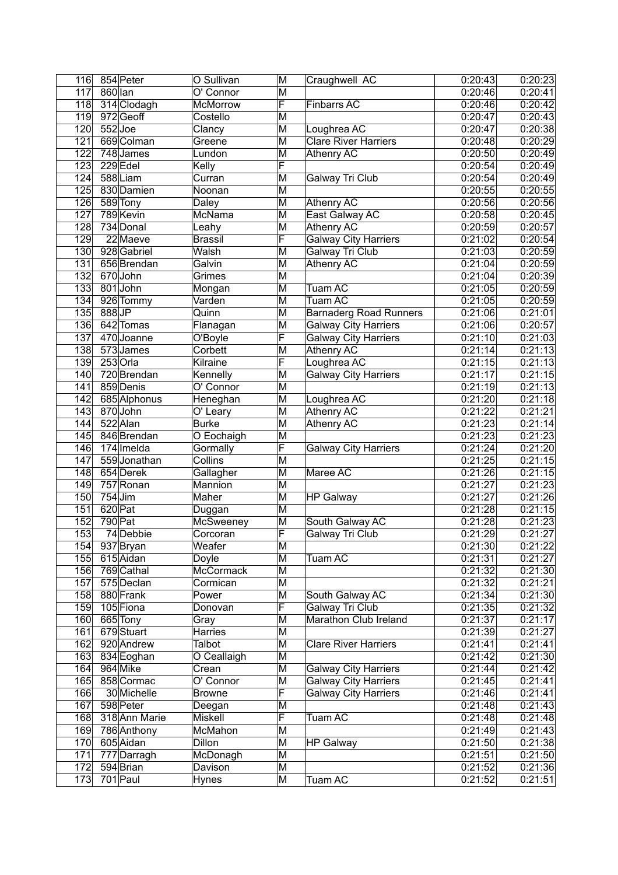| 116              |           | 854 Peter              | O Sullivan       | M                       | Craughwell AC                 | 0:20:43 | 0:20:23 |
|------------------|-----------|------------------------|------------------|-------------------------|-------------------------------|---------|---------|
| 117              | 860 lan   |                        | O' Connor        | M                       |                               | 0:20:46 | 0:20:41 |
| 118              |           | 314 Clodagh            | <b>McMorrow</b>  | F                       | <b>Finbarrs AC</b>            | 0:20:46 | 0:20:42 |
| 119              |           | 972Geoff               | Costello         | M                       |                               | 0:20:47 | 0:20:43 |
| 120              | $552$ Joe |                        | Clancy           | $\overline{\mathsf{M}}$ | Loughrea AC                   | 0:20:47 | 0:20:38 |
| 121              |           | 669 Colman             | Greene           | M                       | <b>Clare River Harriers</b>   | 0:20:48 | 0:20:29 |
| 122              |           | 748 James              | Lundon           | M                       | Athenry AC                    | 0:20:50 | 0:20:49 |
| $\overline{123}$ |           | 229 Edel               | Kelly            | F                       |                               | 0:20:54 | 0:20:49 |
| 124              |           | 588 Liam               | Curran           | M                       | Galway Tri Club               | 0:20:54 | 0:20:49 |
| $\overline{125}$ |           | 830 Damien             | Noonan           | M                       |                               | 0:20:55 | 0:20:55 |
| $\overline{126}$ |           | 589 Tony               | <b>Daley</b>     | $\overline{\mathsf{M}}$ | <b>Athenry AC</b>             | 0:20:56 | 0:20:56 |
| 127              |           | 789 Kevin              | McNama           | M                       | East Galway AC                | 0:20:58 | 0:20:45 |
| $\overline{128}$ |           | 734 Donal              | Leahy            | $\overline{\mathsf{M}}$ | <b>Athenry AC</b>             | 0:20:59 | 0:20:57 |
| 129              |           | 22 Maeve               | <b>Brassil</b>   | F                       | <b>Galway City Harriers</b>   | 0:21:02 | 0:20:54 |
| 130              |           | 928 Gabriel            | Walsh            | $\overline{\mathsf{M}}$ | Galway Tri Club               | 0:21:03 | 0:20:59 |
| 131              |           | 656 Brendan            | Galvin           | M                       |                               | 0:21:04 | 0:20:59 |
| 132              |           | 670John                |                  | $\overline{\mathsf{M}}$ | Athenry AC                    |         |         |
|                  |           |                        | Grimes           |                         |                               | 0:21:04 | 0:20:39 |
| $\overline{133}$ |           | 801 John               | Mongan           | M                       | <b>Tuam AC</b>                | 0:21:05 | 0:20:59 |
| 134              |           | 926 Tommy              | Varden           | M                       | Tuam AC                       | 0:21:05 | 0:20:59 |
| $\overline{135}$ | 888JP     |                        | Quinn            | $\overline{\mathsf{M}}$ | <b>Barnaderg Road Runners</b> | 0:21:06 | 0:21:01 |
| 136              |           | 642 Tomas              | Flanagan         | M                       | <b>Galway City Harriers</b>   | 0:21:06 | 0:20:57 |
| 137              |           | 470 Joanne             | O'Boyle          | F                       | <b>Galway City Harriers</b>   | 0:21:10 | 0:21:03 |
| 138              |           | 573 James              | Corbett          | $\overline{\mathsf{M}}$ | <b>Athenry AC</b>             | 0:21:14 | 0:21:13 |
| 139              |           | $253$ Orla             | Kilraine         | F                       | Loughrea AC                   | 0:21:15 | 0:21:13 |
| 140              |           | 720 Brendan            | Kennelly         | M                       | <b>Galway City Harriers</b>   | 0:21:17 | 0:21:15 |
| 141              |           | 859 Denis              | O' Connor        | $\overline{\mathsf{M}}$ |                               | 0:21:19 | 0:21:13 |
| $\overline{142}$ |           | 685 Alphonus           | Heneghan         | $\overline{\mathsf{M}}$ | Loughrea AC                   | 0:21:20 | 0:21:18 |
| $\overline{143}$ |           | 870 John               | O' Leary         | $\overline{\mathsf{M}}$ | <b>Athenry AC</b>             | 0:21:22 | 0:21:21 |
| 144              |           | 522 Alan               | <b>Burke</b>     | $\overline{\mathsf{M}}$ | <b>Athenry AC</b>             | 0:21:23 | 0:21:14 |
| $\overline{145}$ |           | 846 Brendan            | O Eochaigh       | $\overline{\mathsf{M}}$ |                               | 0:21:23 | 0:21:23 |
| 146              |           | 174 Imelda             | Gormally         | F                       | Galway City Harriers          | 0:21:24 | 0:21:20 |
| 147              |           | 559 Jonathan           | <b>Collins</b>   | M                       |                               | 0:21:25 | 0:21:15 |
| 148              |           | 654 Derek              | Gallagher        | M                       | Maree AC                      | 0:21:26 | 0:21:15 |
| 149              |           | 757 Ronan              | Mannion          | M                       |                               | 0:21:27 | 0:21:23 |
| 150              | 754 Jim   |                        | Maher            | M                       | <b>HP Galway</b>              | 0:21:27 | 0:21:26 |
| 151              | 620 Pat   |                        | Duggan           | $\overline{\mathsf{M}}$ |                               | 0:21:28 | 0:21:15 |
| 152              | 790 Pat   |                        | <b>McSweeney</b> | M                       | South Galway AC               | 0:21:28 | 0:21:23 |
| 153              |           | $\overline{74}$ Debbie | Corcoran         | F                       | Galway Tri Club               | 0:21:29 | 0:21:27 |
| 154              |           | 937 Bryan              | Weafer           | M                       |                               | 0:21:30 | 0:21:22 |
| 155              |           | 615 Aidan              | Doyle            | $\overline{\mathsf{M}}$ | Tuam AC                       | 0:21:31 | 0:21:27 |
| 156              |           | 769 Cathal             | McCormack        | $\overline{\mathsf{M}}$ |                               | 0:21:32 | 0:21:30 |
| 157              |           | 575 Declan             | Cormican         | M                       |                               | 0:21:32 | 0:21:21 |
| 158              |           | 880 Frank              | Power            | $\overline{\mathsf{M}}$ | South Galway AC               | 0:21:34 | 0:21:30 |
| 159              |           | 105 Fiona              | Donovan          | F                       | Galway Tri Club               | 0:21:35 | 0:21:32 |
| 160              |           | 665 Tony               | Gray             | M                       | Marathon Club Ireland         | 0:21:37 | 0:21:17 |
| 161              |           | 679 Stuart             | Harries          | M                       |                               | 0:21:39 | 0:21:27 |
| 162              |           | 920 Andrew             | Talbot           | M                       | <b>Clare River Harriers</b>   | 0:21:41 | 0:21:41 |
| 163              |           | 834 Eoghan             | O Ceallaigh      | M                       |                               | 0:21:42 | 0:21:30 |
| 164              |           | 964 Mike               | Crean            | M                       | <b>Galway City Harriers</b>   | 0:21:44 | 0:21:42 |
| 165              |           | 858 Cormac             | O' Connor        | M                       | <b>Galway City Harriers</b>   | 0:21:45 | 0:21:41 |
| 166              |           | 30 Michelle            | <b>Browne</b>    | F                       | <b>Galway City Harriers</b>   | 0:21:46 | 0:21:41 |
| 167              |           | 598 Peter              | Deegan           | $\overline{\mathsf{M}}$ |                               | 0:21:48 | 0:21:43 |
| 168              |           | 318 Ann Marie          | Miskell          | F                       | Tuam AC                       | 0:21:48 | 0:21:48 |
| 169              |           | 786 Anthony            | McMahon          | M                       |                               | 0:21:49 | 0:21:43 |
| 170              |           | 605 Aidan              | <b>Dillon</b>    | M                       | <b>HP Galway</b>              | 0:21:50 | 0:21:38 |
| 171              |           | 777 Darragh            | McDonagh         | M                       |                               | 0:21:51 | 0:21:50 |
| 172              |           | 594 Brian              | Davison          | M                       |                               | 0:21:52 | 0:21:36 |
| 173              |           | $701$ Paul             | <b>Hynes</b>     | M                       | Tuam AC                       | 0:21:52 | 0:21:51 |
|                  |           |                        |                  |                         |                               |         |         |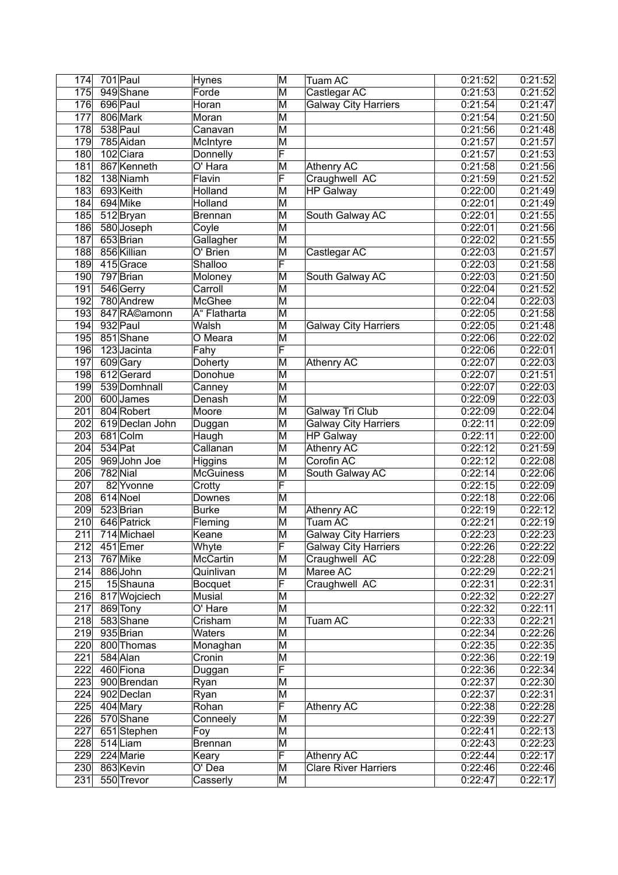| 174              |         | $701$ Paul      | <b>Hynes</b>          | M                       | Tuam AC                     | 0:21:52            | 0:21:52 |
|------------------|---------|-----------------|-----------------------|-------------------------|-----------------------------|--------------------|---------|
| 175              |         | 949 Shane       | Forde                 | $\overline{\mathsf{M}}$ | Castlegar AC                | 0:21:53            | 0:21:52 |
| 176              |         | 696 Paul        | Horan                 | $\overline{\mathsf{M}}$ | <b>Galway City Harriers</b> | 0:21:54            | 0:21:47 |
| $\overline{177}$ |         | 806 Mark        | Moran                 | M                       |                             | 0:21:54            | 0:21:50 |
| 178              |         | 538 Paul        | Canavan               | $\overline{\mathsf{M}}$ |                             | 0:21:56            | 0:21:48 |
| 179              |         | 785 Aidan       | McIntyre              | $\overline{\mathsf{M}}$ |                             | 0:21:57            | 0:21:57 |
| 180              |         | 102 Ciara       | Donnelly              | F                       |                             | 0:21:57            | 0:21:53 |
| 181              |         | 867 Kenneth     | $\overline{O'$ Hara   | $\overline{\mathsf{M}}$ | Athenry AC                  | 0:21:58            | 0:21:56 |
| 182              |         | 138 Niamh       | Flavin                | F                       | Craughwell AC               | 0:21:59            | 0:21:52 |
| 183              |         | 693 Keith       | Holland               | M                       | <b>HP Galway</b>            | 0:22:00            | 0:21:49 |
| 184              |         | 694 Mike        | Holland               | $\overline{\mathsf{M}}$ |                             | 0:22:01            | 0:21:49 |
| 185              |         | 512 Bryan       | <b>Brennan</b>        | M                       | South Galway AC             | 0:22:01            | 0:21:55 |
| 186              |         | 580 Joseph      | Coyle                 | M                       |                             | 0:22:01            | 0:21:56 |
| 187              |         | 653 Brian       | Gallagher             | M                       |                             | 0:22:02            | 0:21:55 |
| 188              |         | 856 Killian     | O' Brien              | $\overline{\mathsf{M}}$ | Castlegar AC                | 0:22:03            | 0:21:57 |
| 189              |         | 415Grace        | Shalloo               | F                       |                             | 0:22:03            | 0:21:58 |
| 190              |         | 797 Brian       | Moloney               | $\overline{\mathsf{M}}$ | South Galway AC             | 0:22:03            | 0:21:50 |
| 191              |         | 546 Gerry       | Carroll               | M                       |                             | 0:22:04            | 0:21:52 |
| 192              |         | 780 Andrew      | <b>McGhee</b>         | $\overline{\mathsf{M}}$ |                             | 0:22:04            | 0:22:03 |
| 193              |         | 847 Réamonn     | Ó Flatharta           | M                       |                             | 0:22:05            | 0:21:58 |
| 194              |         | 932 Paul        | Walsh                 | $\overline{\mathsf{M}}$ | <b>Galway City Harriers</b> | 0:22:05            | 0:21:48 |
| 195              |         | 851 Shane       | O Meara               | M                       |                             | 0:22:06            | 0:22:02 |
| 196              |         | 123 Jacinta     | Fahy                  | F                       |                             | 0:22:06            | 0:22:01 |
| 197              |         | 609 Gary        | Doherty               | $\overline{\mathsf{M}}$ | Athenry AC                  | 0:22:07            | 0:22:03 |
| 198              |         | 612 Gerard      | Donohue               | $\overline{\mathsf{M}}$ |                             | 0:22:07            | 0:21:51 |
| 199              |         | 539 Domhnall    | Canney                | $\overline{\mathsf{M}}$ |                             | 0:22:07            | 0:22:03 |
| 200              |         | 600 James       | Denash                | $\overline{\mathsf{M}}$ |                             | 0:22:09            | 0:22:03 |
| $\overline{201}$ |         | 804 Robert      | Moore                 | $\overline{\mathsf{M}}$ | <b>Galway Tri Club</b>      | 0:22:09            | 0:22:04 |
| 202              |         | 619 Declan John | Duggan                | $\overline{\mathsf{M}}$ | <b>Galway City Harriers</b> | 0:22:11            | 0:22:09 |
| $\overline{203}$ |         | 681 Colm        | Haugh                 | M                       | <b>HP Galway</b>            | 0:22:11            | 0:22:00 |
| 204              | 534 Pat |                 | Callanan              | $\overline{\mathsf{M}}$ | <b>Athenry AC</b>           | 0:22:12            | 0:21:59 |
| 205              |         | 969 John Joe    | Higgins               | M                       | Corofin AC                  | 0:22:12            | 0:22:08 |
| 206              |         | $782$ Nial      | <b>McGuiness</b>      | $\overline{\mathsf{M}}$ | South Galway AC             | 0:22:14            | 0:22:06 |
| 207              |         | 82 Yvonne       | Crotty                | F                       |                             | 0:22:15            | 0:22:09 |
| 208              |         | 614 Noel        | Downes                | M                       |                             | 0:22:18            | 0:22:06 |
| 209              |         | 523 Brian       | <b>Burke</b>          | $\overline{\mathsf{M}}$ | <b>Athenry AC</b>           | 0:22:19            | 0:22:12 |
| 210              |         | 646 Patrick     | Fleming               | M                       | <b>Tuam AC</b>              | 0:22:21            | 0:22:19 |
| $\overline{211}$ |         | $714$ Michael   | Keane                 | $\overline{\mathsf{M}}$ | Galway City Harriers        | 0:22:23            | 0:22:23 |
| 212              |         | 451 Emer        | Whyte                 | F                       | <b>Galway City Harriers</b> | 0:22:26            | 0:22:22 |
| $\overline{213}$ |         | 767 Mike        | McCartin              | $\overline{\mathsf{M}}$ | Craughwell AC               | 0:22:28            | 0:22:09 |
| 214              |         | 886 John        | Quinlivan             | M                       | Maree AC                    | 0:22:29            | 0:22:21 |
| 215              |         | 15Shauna        | <b>Bocquet</b>        | F                       | Craughwell AC               | 0:22:31            | 0:22:31 |
| 216              |         | 817 Wojciech    | Musial                | M                       |                             | 0:22:32            | 0:22:27 |
| 217              |         | 869 Tony        | O' Hare               | M                       |                             | 0:22:32            | 0:22:11 |
| 218              |         | 583 Shane       | Crisham               | M                       | Tuam AC                     | 0:22:33            | 0:22:21 |
| 219              |         | 935 Brian       | Waters                | M                       |                             | 0:22:34            | 0:22:26 |
| 220              |         | 800 Thomas      | Monaghan              | M                       |                             | 0:22:35            | 0:22:35 |
| 221              |         | 584 Alan        | Cronin                | M                       |                             | 0:22:36            | 0:22:19 |
| 222              |         | 460 Fiona       | Duggan                | F                       |                             | 0:22:36            | 0:22:34 |
| 223              |         | 900 Brendan     | Ryan                  | M                       |                             | 0:22:37            | 0:22:30 |
| 224              |         | 902 Declan      |                       | M                       |                             | 0:22:37            | 0:22:31 |
| 225              |         |                 | Ryan                  | F                       |                             | 0:22:38            |         |
|                  |         | 404 Mary        | Rohan                 | M                       | Athenry AC                  |                    | 0:22:28 |
| 226              |         | 570 Shane       | Conneely              |                         |                             | 0:22:39            | 0:22:27 |
| 227<br>228       |         | 651 Stephen     | Foy<br><b>Brennan</b> | M<br>M                  |                             | 0:22:41<br>0:22:43 | 0:22:13 |
|                  |         | 514 Liam        |                       | F                       |                             |                    | 0:22:23 |
| 229              |         | 224 Marie       | Keary                 |                         | Athenry AC                  | 0:22:44            | 0:22:17 |
| 230              |         | 863 Kevin       | O' Dea                | M                       | <b>Clare River Harriers</b> | 0:22:46            | 0:22:46 |
| 231              |         | 550 Trevor      | Casserly              | M                       |                             | 0:22:47            | 0:22:17 |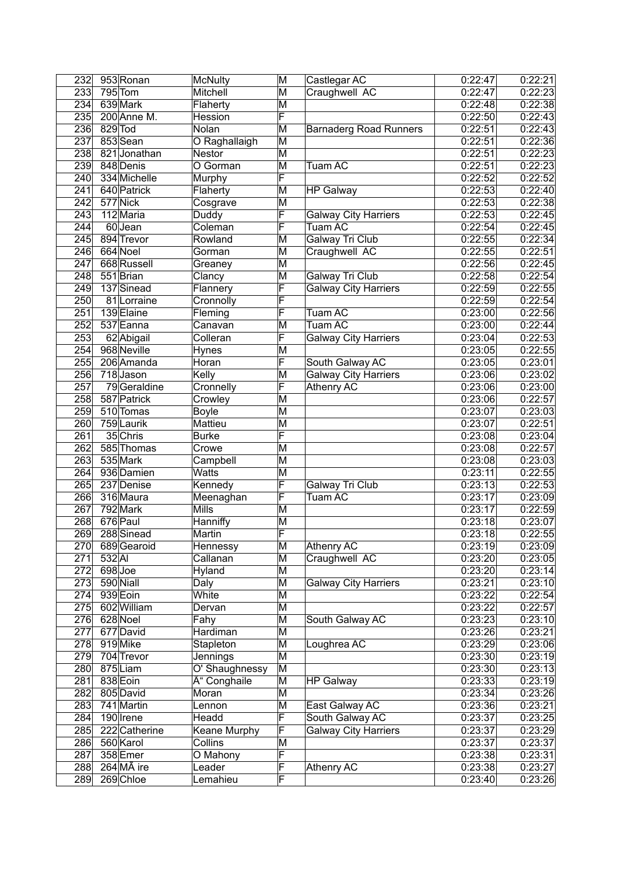| 232              |          | 953 Ronan               | <b>McNulty</b> | M                       | Castlegar AC                  | 0:22:47 | 0:22:21 |
|------------------|----------|-------------------------|----------------|-------------------------|-------------------------------|---------|---------|
| 233              |          | $795$ Tom               | Mitchell       | $\overline{\mathsf{M}}$ | Craughwell AC                 | 0:22:47 | 0:22:23 |
| 234              |          | 639 Mark                | Flaherty       | $\overline{\mathsf{M}}$ |                               | 0:22:48 | 0:22:38 |
| 235              |          | 200 Anne M.             | Hession        | F                       |                               | 0:22:50 | 0:22:43 |
| 236              | 829 Tod  |                         | Nolan          | $\overline{\mathsf{M}}$ | <b>Barnaderg Road Runners</b> | 0:22:51 | 0:22:43 |
| 237              |          | 853 Sean                | O Raghallaigh  | $\overline{\mathsf{M}}$ |                               | 0:22:51 | 0:22:36 |
| 238              |          | 821 Jonathan            | <b>Nestor</b>  | $\overline{\mathsf{M}}$ |                               | 0:22:51 | 0:22:23 |
| 239              |          | 848 Denis               | O Gorman       | $\overline{\mathsf{M}}$ | Tuam AC                       | 0:22:51 | 0:22:23 |
| 240              |          | 334 Michelle            | Murphy         | F                       |                               | 0:22:52 | 0:22:52 |
| 241              |          | 640 Patrick             | Flaherty       | $\overline{\mathsf{M}}$ | <b>HP Galway</b>              | 0:22:53 | 0:22:40 |
| 242              |          | 577 Nick                | Cosgrave       | $\overline{\mathsf{M}}$ |                               | 0:22:53 | 0:22:38 |
| 243              |          | 112 Maria               | Duddy          | F                       | Galway City Harriers          | 0:22:53 | 0:22:45 |
| 244              |          | 60Jean                  | Coleman        | F                       | Tuam AC                       | 0:22:54 | 0:22:45 |
| 245              |          | 894 Trevor              | Rowland        | M                       | <b>Galway Tri Club</b>        | 0:22:55 | 0:22:34 |
| 246              |          | 664 Noel                |                | $\overline{\mathsf{M}}$ |                               | 0:22:55 | 0:22:51 |
|                  |          |                         | Gorman         |                         | Craughwell AC                 |         |         |
| 247              |          | 668 Russell             | Greaney        | M                       |                               | 0:22:56 | 0:22:45 |
| 248              |          | 551 Brian               | Clancy         | $\overline{\mathsf{M}}$ | <b>Galway Tri Club</b>        | 0:22:58 | 0:22:54 |
| 249              |          | 137 Sinead              | Flannery       | F                       | Galway City Harriers          | 0:22:59 | 0:22:55 |
| 250              |          | 81 Lorraine             | Cronnolly      | F                       |                               | 0:22:59 | 0:22:54 |
| 251              |          | 139 Elaine              | Fleming        | F                       | Tuam AC                       | 0:23:00 | 0:22:56 |
| 252              |          | 537 Eanna               | Canavan        | M                       | Tuam AC                       | 0:23:00 | 0:22:44 |
| 253              |          | 62 Abigail              | Colleran       | F                       | <b>Galway City Harriers</b>   | 0:23:04 | 0:22:53 |
| 254              |          | 968 Neville             | <b>Hynes</b>   | $\overline{\mathsf{M}}$ |                               | 0:23:05 | 0:22:55 |
| 255              |          | 206 Amanda              | Horan          | F                       | South Galway AC               | 0:23:05 | 0:23:01 |
| 256              |          | 718 Jason               | Kelly          | $\overline{\mathsf{M}}$ | <b>Galway City Harriers</b>   | 0:23:06 | 0:23:02 |
| 257              |          | 79Geraldine             | Cronnelly      | F                       | Athenry AC                    | 0:23:06 | 0:23:00 |
| 258              |          | 587 Patrick             | Crowley        | $\overline{\mathsf{M}}$ |                               | 0:23:06 | 0:22:57 |
| 259              |          | 510 Tomas               | <b>Boyle</b>   | M                       |                               | 0:23:07 | 0:23:03 |
| 260              |          | 759 Laurik              | <b>Mattieu</b> | $\overline{\mathsf{M}}$ |                               | 0:23:07 | 0:22:51 |
| 261              |          | 35 Chris                | <b>Burke</b>   | F                       |                               | 0:23:08 | 0:23:04 |
| 262              |          | 585 Thomas              | Crowe          | M                       |                               | 0:23:08 | 0:22:57 |
| 263              |          | 535 Mark                | Campbell       | M                       |                               | 0:23:08 | 0:23:03 |
| 264              |          | 936 Damien              | <b>Watts</b>   | $\overline{\mathsf{M}}$ |                               | 0:23:11 | 0:22:55 |
| 265              |          | 237 Denise              | Kennedy        | F                       | Galway Tri Club               | 0:23:13 | 0:22:53 |
| 266              |          | 316 Maura               | Meenaghan      | F                       | Tuam AC                       | 0:23:17 | 0:23:09 |
| $\overline{267}$ |          | 792 Mark                | <b>Mills</b>   | M                       |                               | 0:23:17 | 0:22:59 |
| 268              |          | 676 Paul                | Hanniffy       | M                       |                               | 0:23:18 | 0:23:07 |
| 269              |          | 288 Sinead              | Martin         | $\overline{\mathsf{F}}$ |                               | 0:23:18 | 0:22:55 |
| 270              |          | 689 Gearoid             | Hennessy       | M                       | <b>Athenry AC</b>             | 0:23:19 | 0:23:09 |
| 271              | $532$ AI |                         | Callanan       | $\overline{\mathsf{M}}$ |                               | 0:23:20 | 0:23:05 |
|                  |          |                         |                |                         | Craughwell AC                 |         |         |
| 272              | 698Joe   |                         | Hyland         | M                       |                               | 0:23:20 | 0:23:14 |
| 273              |          | 590 Niall               | Daly           | $\overline{\mathsf{M}}$ | <b>Galway City Harriers</b>   | 0:23:21 | 0:23:10 |
| 274              |          | 939 Eoin                | White          | M                       |                               | 0:23:22 | 0:22:54 |
| 275              |          | 602 William             | Dervan         | M                       |                               | 0:23:22 | 0:22:57 |
| 276              |          | 628 Noel                | Fahy           | M                       | South Galway AC               | 0:23:23 | 0:23:10 |
| 277              |          | 677 David               | Hardiman       | M                       |                               | 0:23:26 | 0:23:21 |
| 278              |          | 919Mike                 | Stapleton      | M                       | Loughrea AC                   | 0:23:29 | 0:23:06 |
| 279              |          | 704 Trevor              | Jennings       | M                       |                               | 0:23:30 | 0:23:19 |
| 280              |          | 875Liam                 | O' Shaughnessy | M                       |                               | 0:23:30 | 0:23:13 |
| 281              |          | 838 Eoin                | Ó Conghaile    | M                       | <b>HP Galway</b>              | 0:23:33 | 0:23:19 |
| 282              |          | 805 David               | Moran          | M                       |                               | 0:23:34 | 0:23:26 |
| 283              |          | 741 Martin              | Lennon         | M                       | East Galway AC                | 0:23:36 | 0:23:21 |
| 284              |          | 190 Irene               | Headd          | F                       | South Galway AC               | 0:23:37 | 0:23:25 |
| 285              |          | 222 Catherine           | Keane Murphy   | F                       | <b>Galway City Harriers</b>   | 0:23:37 | 0:23:29 |
| 286              |          | 560 Karol               | Collins        | M                       |                               | 0:23:37 | 0:23:37 |
| 287              |          | 358 Emer                | O Mahony       | F                       |                               | 0:23:38 | 0:23:31 |
| 288              |          | $264$ M $\tilde{A}$ ire | Leader         | F                       | Athenry AC                    | 0:23:38 | 0:23:27 |
| 289              |          | 269 Chloe               | Lemahieu       | F                       |                               | 0:23:40 | 0:23:26 |
|                  |          |                         |                |                         |                               |         |         |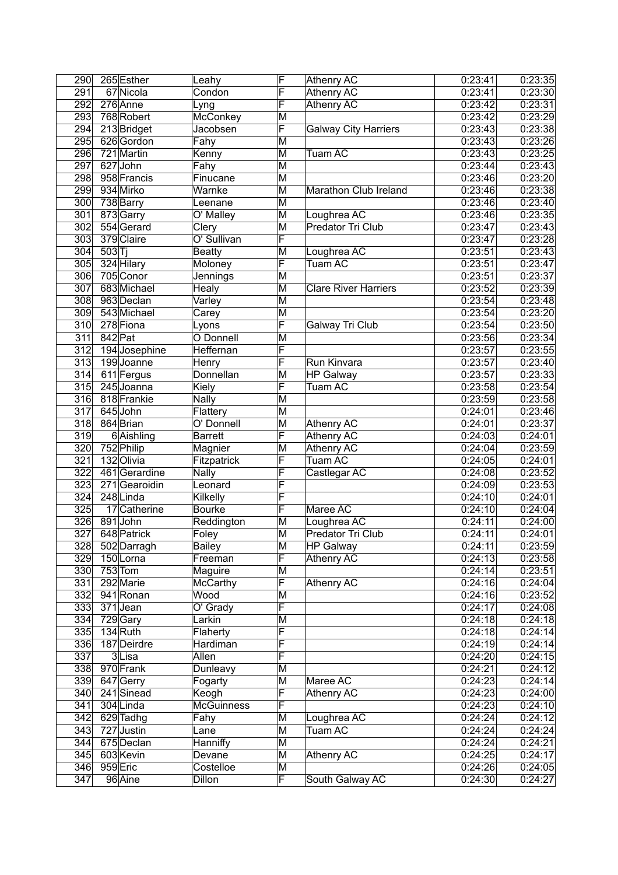| 290              | 265 Esther    | Leahy                       | F                       | Athenry AC                  | 0:23:41 | 0:23:35 |
|------------------|---------------|-----------------------------|-------------------------|-----------------------------|---------|---------|
| 291              | 67 Nicola     | Condon                      | F                       | <b>Athenry AC</b>           | 0:23:41 | 0:23:30 |
| 292              | 276 Anne      | Lyng                        | F                       | <b>Athenry AC</b>           | 0:23:42 | 0:23:31 |
| 293              | 768 Robert    | McConkey                    | M                       |                             | 0:23:42 | 0:23:29 |
| 294              | 213 Bridget   | Jacobsen                    | F                       | <b>Galway City Harriers</b> | 0:23:43 | 0:23:38 |
| 295              | 626 Gordon    | Fahy                        | $\overline{\mathsf{M}}$ |                             | 0:23:43 | 0:23:26 |
| 296              | 721 Martin    | Kenny                       | $\overline{\mathsf{M}}$ | <b>Tuam AC</b>              | 0:23:43 | 0:23:25 |
| 297              | 627 John      | $\overline{\mathsf{F}}$ ahy | $\overline{\mathsf{M}}$ |                             | 0:23:44 | 0:23:43 |
| 298              | 958 Francis   | Finucane                    | $\overline{\mathsf{M}}$ |                             | 0:23:46 | 0:23:20 |
| 299              | 934 Mirko     | Warnke                      | $\overline{\mathsf{M}}$ | Marathon Club Ireland       | 0:23:46 | 0:23:38 |
|                  |               |                             | $\overline{\mathsf{M}}$ |                             |         |         |
| 300              | 738 Barry     | Leenane                     |                         |                             | 0:23:46 | 0:23:40 |
| 301              | 873Garry      | O' Malley                   | M                       | Loughrea AC                 | 0:23:46 | 0:23:35 |
| 302              | 554 Gerard    | Clery                       | M                       | <b>Predator Tri Club</b>    | 0:23:47 | 0:23:43 |
| 303              | 379 Claire    | O' Sullivan                 | F                       |                             | 0:23:47 | 0:23:28 |
| 304              | 503 Tj        | <b>Beatty</b>               | $\overline{\mathsf{M}}$ | Loughrea AC                 | 0:23:51 | 0:23:43 |
| 305              | 324 Hilary    | Moloney                     | F                       | Tuam AC                     | 0:23:51 | 0:23:47 |
| 306              | 705 Conor     | <b>Jennings</b>             | M                       |                             | 0:23:51 | 0:23:37 |
| 307              | 683 Michael   | Healy                       | M                       | <b>Clare River Harriers</b> | 0:23:52 | 0:23:39 |
| 308              | 963 Declan    | Varley                      | M                       |                             | 0:23:54 | 0:23:48 |
| 309              | 543 Michael   | Carey                       | M                       |                             | 0:23:54 | 0:23:20 |
| 310              | 278 Fiona     | Lyons                       | F                       | Galway Tri Club             | 0:23:54 | 0:23:50 |
| 311              | 842 Pat       | O Donnell                   | $\overline{\mathsf{M}}$ |                             | 0:23:56 | 0:23:34 |
| $\overline{312}$ | 194 Josephine | <b>Heffernan</b>            | F                       |                             | 0:23:57 | 0:23:55 |
| $\overline{313}$ | 199 Joanne    | Henry                       | F                       | Run Kinvara                 | 0:23:57 | 0:23:40 |
| 314              | 611 Fergus    | <b>Donnellan</b>            | $\overline{\mathsf{M}}$ | <b>HP Galway</b>            | 0:23:57 | 0:23:33 |
| 315              | 245 Joanna    | Kiely                       | F                       | Tuam AC                     | 0:23:58 | 0:23:54 |
| 316              | 818 Frankie   |                             | $\overline{\mathsf{M}}$ |                             | 0:23:59 | 0:23:58 |
|                  |               | <b>Nally</b>                |                         |                             |         |         |
| $\overline{317}$ | 645 John      | Flattery                    | M                       |                             | 0:24:01 | 0:23:46 |
| 318              | 864 Brian     | O' Donnell                  | M                       | <b>Athenry AC</b>           | 0:24:01 | 0:23:37 |
| 319              | 6 Aishling    | <b>Barrett</b>              | F                       | <b>Athenry AC</b>           | 0:24:03 | 0:24:01 |
| 320              | 752 Philip    | Magnier                     | M                       | <b>Athenry AC</b>           | 0:24:04 | 0:23:59 |
| 321              | 132 Olivia    | Fitzpatrick                 | F                       | <b>Tuam AC</b>              | 0:24:05 | 0:24:01 |
| 322              | 461 Gerardine | <b>Nally</b>                | F                       | Castlegar AC                | 0:24:08 | 0:23:52 |
| 323              | 271 Gearoidin | Leonard                     | F                       |                             | 0:24:09 | 0:23:53 |
| 324              | 248 Linda     | Kilkelly                    | F                       |                             | 0:24:10 | 0:24:01 |
| 325              | 17 Catherine  | <b>Bourke</b>               | F                       | Maree AC                    | 0:24:10 | 0:24:04 |
| 326              | 891John       | Reddington                  | M                       | Loughrea AC                 | 0:24:11 | 0:24:00 |
| 327              | 648 Patrick   | Foley                       | $\overline{\mathsf{M}}$ | Predator Tri Club           | 0:24:11 | 0:24:01 |
| 328              | 502 Darragh   | <b>Bailey</b>               | M                       | <b>HP Galway</b>            | 0:24:11 | 0:23:59 |
| 329              | 150Lorna      | Freeman                     | $\overline{\mathsf{F}}$ | Athenry AC                  | 0:24:13 | 0:23:58 |
| 330              | $753$ Tom     | Maguire                     | $\overline{\mathsf{M}}$ |                             | 0:24:14 | 0:23:51 |
| 331              | 292 Marie     | <b>McCarthy</b>             | F                       | Athenry AC                  | 0:24:16 | 0:24:04 |
| 332              | 941 Ronan     | Wood                        | M                       |                             | 0:24:16 | 0:23:52 |
| 333              | $371$ Jean    | $\overline{O}$ Grady        | F                       |                             | 0:24:17 | 0:24:08 |
| 334              | 729 Gary      | Larkin                      | M                       |                             | 0:24:18 | 0:24:18 |
| 335              | $134$ Ruth    | Flaherty                    | F                       |                             | 0:24:18 | 0:24:14 |
|                  |               |                             | F                       |                             |         | 0:24:14 |
| 336              | 187 Deirdre   | Hardiman                    |                         |                             | 0:24:19 |         |
| 337              | $3$ Lisa      | Allen                       | F                       |                             | 0:24:20 | 0:24:15 |
| 338              | 970 Frank     | Dunleavy                    | M                       |                             | 0:24:21 | 0:24:12 |
| 339              | 647 Gerry     | Fogarty                     | M                       | Maree AC                    | 0:24:23 | 0:24:14 |
| 340              | 241 Sinead    | Keogh                       | F                       | Athenry AC                  | 0:24:23 | 0:24:00 |
| 341              | 304 Linda     | <b>McGuinness</b>           | $\overline{\mathsf{F}}$ |                             | 0:24:23 | 0:24:10 |
| 342              | 629 Tadhg     | Fahy                        | M                       | Loughrea AC                 | 0:24:24 | 0:24:12 |
| 343              | 727 Justin    | Lane                        | М                       | Tuam AC                     | 0:24:24 | 0:24:24 |
| 344              | 675 Declan    | Hanniffy                    | M                       |                             | 0:24:24 | 0:24:21 |
| 345              | 603 Kevin     | Devane                      | $\overline{\mathsf{M}}$ | Athenry AC                  | 0:24:25 | 0:24:17 |
| 346              | $959$ Eric    | Costelloe                   | $\overline{\mathsf{M}}$ |                             | 0:24:26 | 0:24:05 |
| 347              | 96 Aine       | Dillon                      | $\overline{\mathsf{F}}$ | South Galway AC             | 0:24:30 | 0:24:27 |
|                  |               |                             |                         |                             |         |         |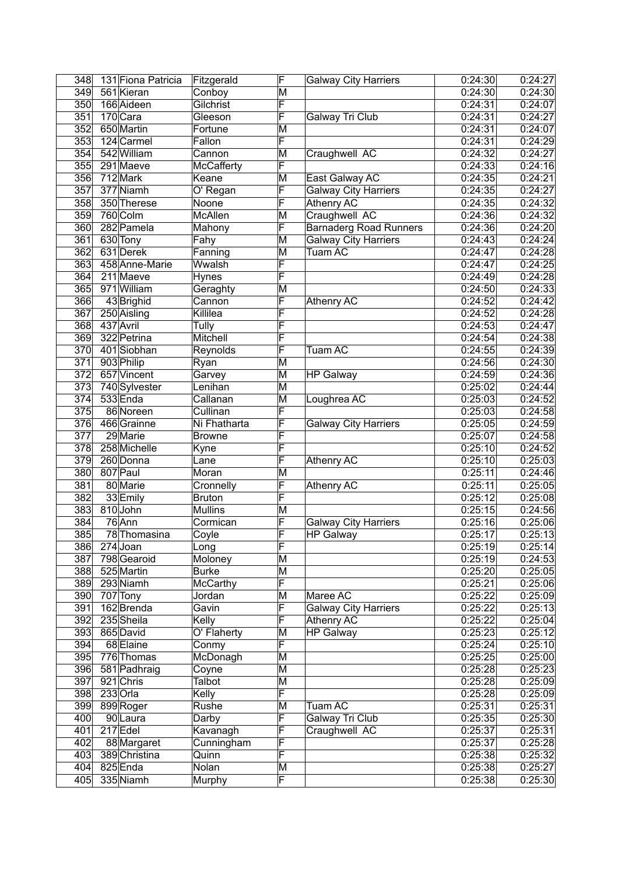| 348              | 131 Fiona Patricia | Fitzgerald      | F                       | <b>Galway City Harriers</b>   | 0:24:30 | 0:24:27 |
|------------------|--------------------|-----------------|-------------------------|-------------------------------|---------|---------|
| 349              | 561 Kieran         | Conboy          | M                       |                               | 0:24:30 | 0:24:30 |
| 350              | 166 Aideen         | Gilchrist       | F                       |                               | 0:24:31 | 0:24:07 |
| 351              | 170 Cara           | Gleeson         | F                       | Galway Tri Club               | 0:24:31 | 0:24:27 |
| 352              | 650 Martin         | Fortune         | $\overline{\mathsf{M}}$ |                               | 0:24:31 | 0:24:07 |
| 353              | 124 Carmel         | Fallon          | F                       |                               | 0:24:31 | 0:24:29 |
| 354              | 542 William        | Cannon          | M                       | Craughwell AC                 | 0:24:32 | 0:24:27 |
| 355              | 291 Maeve          | McCafferty      | F                       |                               | 0:24:33 | 0:24:16 |
|                  |                    |                 |                         |                               |         |         |
| 356              | 712 Mark           | Keane           | M                       | East Galway AC                | 0:24:35 | 0:24:21 |
| 357              | 377 Niamh          | O' Regan        | F                       | <b>Galway City Harriers</b>   | 0:24:35 | 0:24:27 |
| 358              | 350 Therese        | Noone           | F                       | <b>Athenry AC</b>             | 0:24:35 | 0:24:32 |
| 359              | 760 Colm           | McAllen         | M                       | Craughwell AC                 | 0:24:36 | 0:24:32 |
| 360              | 282 Pamela         | Mahony          | F                       | <b>Barnaderg Road Runners</b> | 0:24:36 | 0:24:20 |
| 361              | 630 Tony           | Fahy            | M                       | <b>Galway City Harriers</b>   | 0:24:43 | 0:24:24 |
| 362              | 631 Derek          | Fanning         | M                       | <b>Tuam AC</b>                | 0:24:47 | 0:24:28 |
| 363              | 458 Anne-Marie     | Wwalsh          | F                       |                               | 0:24:47 | 0:24:25 |
| 364              | 211 Maeve          | <b>Hynes</b>    | F                       |                               | 0:24:49 | 0:24:28 |
| 365              | 971William         | Geraghty        | M                       |                               | 0:24:50 | 0:24:33 |
| 366              | 43 Brighid         | Cannon          | F                       | <b>Athenry AC</b>             | 0:24:52 | 0:24:42 |
| 367              | 250 Aisling        | Killilea        | F                       |                               | 0:24:52 | 0:24:28 |
| 368              | 437 Avril          | Tully           | F                       |                               | 0:24:53 | 0:24:47 |
|                  |                    |                 |                         |                               |         |         |
| 369              | 322 Petrina        | <b>Mitchell</b> | F                       |                               | 0:24:54 | 0:24:38 |
| 370              | 401 Siobhan        | Reynolds        | F                       | <b>Tuam AC</b>                | 0:24:55 | 0:24:39 |
| $\overline{371}$ | 903 Philip         | Ryan            | M                       |                               | 0:24:56 | 0:24:30 |
| 372              | 657 Vincent        | Garvey          | $\overline{\mathsf{M}}$ | <b>HP Galway</b>              | 0:24:59 | 0:24:36 |
| 373              | 740 Sylvester      | Lenihan         | $\overline{\mathsf{M}}$ |                               | 0:25:02 | 0:24:44 |
| 374              | 533 Enda           | Callanan        | M                       | Loughrea AC                   | 0:25:03 | 0:24:52 |
| $\overline{375}$ | 86 Noreen          | Cullinan        | F                       |                               | 0:25:03 | 0:24:58 |
| 376              | 466 Grainne        | Ni Fhatharta    | F                       | <b>Galway City Harriers</b>   | 0:25:05 | 0:24:59 |
| $\overline{377}$ | 29 Marie           | <b>Browne</b>   | F                       |                               | 0:25:07 | 0:24:58 |
| 378              | 258 Michelle       | Kyne            | F                       |                               | 0:25:10 | 0:24:52 |
| 379              | 260 Donna          | Lane            | F                       | Athenry AC                    | 0:25:10 | 0:25:03 |
| 380              | 807 Paul           | Moran           | M                       |                               | 0:25:11 | 0:24:46 |
| 381              | 80 Marie           | Cronnelly       | F                       | Athenry AC                    | 0:25:11 | 0:25:05 |
| 382              | 33 Emily           | <b>Bruton</b>   | F                       |                               | 0:25:12 | 0:25:08 |
|                  |                    |                 |                         |                               |         |         |
| 383              | 810 John           | <b>Mullins</b>  | M                       |                               | 0:25:15 | 0:24:56 |
| 384              | $76$ Ann           | Cormican        | F                       | <b>Galway City Harriers</b>   | 0:25:16 | 0:25:06 |
| 385              | 78 Thomasina       | Coyle           | $\overline{\mathsf{F}}$ | <b>HP Galway</b>              | 0:25:17 | 0:25:13 |
| 386              | $274$ Joan         | Long            | F                       |                               | 0:25:19 | 0:25:14 |
| 387              | 798 Gearoid        | Moloney         | $\overline{\mathsf{M}}$ |                               | 0:25:19 | 0:24:53 |
| 388              | 525 Martin         | <b>Burke</b>    | M                       |                               | 0:25:20 | 0:25:05 |
| 389              | 293 Niamh          | McCarthy        | F                       |                               | 0:25:21 | 0:25:06 |
| 390              | $707$ Tony         | Jordan          | M                       | Maree AC                      | 0:25:22 | 0:25:09 |
| 391              | 162 Brenda         | Gavin           | F                       | <b>Galway City Harriers</b>   | 0:25:22 | 0:25:13 |
| 392              | 235 Sheila         | Kelly           | F                       | <b>Athenry AC</b>             | 0:25:22 | 0:25:04 |
| 393              | 865 David          | O' Flaherty     | M                       | <b>HP Galway</b>              | 0:25:23 | 0:25:12 |
| 394              | 68 Elaine          | Conmy           | F                       |                               | 0:25:24 | 0:25:10 |
| 395              | 776 Thomas         | McDonagh        | M                       |                               | 0:25:25 | 0:25:00 |
| 396              | 581 Padhraig       | Coyne           | M                       |                               | 0:25:28 | 0:25:23 |
| 397              |                    |                 |                         |                               | 0:25:28 |         |
|                  | 921 Chris          | Talbot          | M<br>F                  |                               |         | 0:25:09 |
| 398              | $233$ Orla         | Kelly           |                         |                               | 0:25:28 | 0:25:09 |
| 399              | 899 Roger          | Rushe           | M                       | Tuam AC                       | 0:25:31 | 0:25:31 |
| 400              | 90 Laura           | Darby           | F                       | Galway Tri Club               | 0:25:35 | 0:25:30 |
| 401              | $217$ Edel         | Kavanagh        | $\overline{\mathsf{F}}$ | Craughwell AC                 | 0:25:37 | 0:25:31 |
| 402              | 88 Margaret        | Cunningham      | F                       |                               | 0:25:37 | 0:25:28 |
| 403              | 389 Christina      | Quinn           | $\overline{\mathsf{F}}$ |                               | 0:25:38 | 0:25:32 |
| 404              | 825 Enda           | Nolan           | M                       |                               | 0:25:38 | 0:25:27 |
| 405              | 335 Niamh          | Murphy          | $\overline{\mathsf{F}}$ |                               | 0:25:38 | 0:25:30 |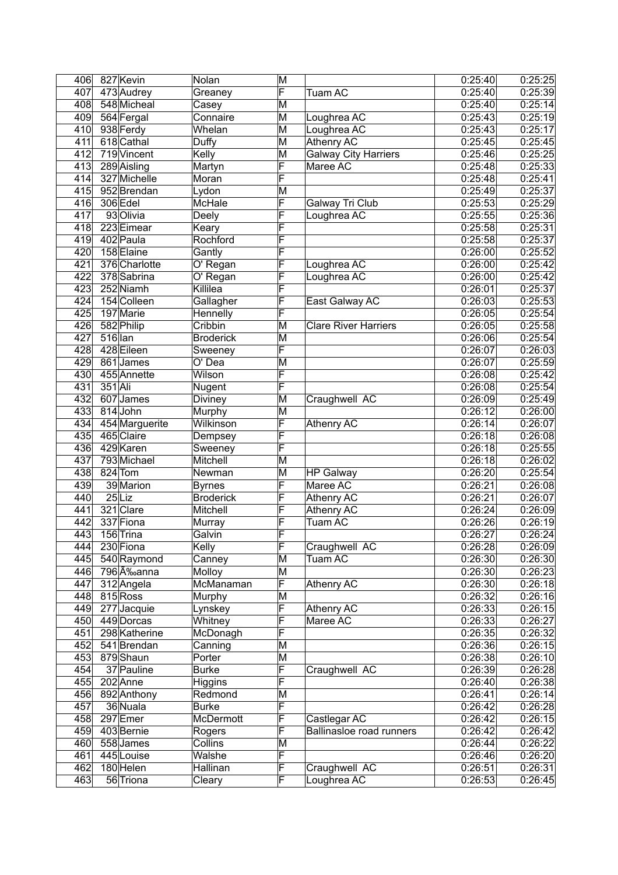| 406 |           | 827 Kevin      | Nolan            | M                       |                                 | 0:25:40 | 0:25:25 |
|-----|-----------|----------------|------------------|-------------------------|---------------------------------|---------|---------|
| 407 |           | 473 Audrey     | Greaney          | F                       | Tuam AC                         | 0:25:40 | 0:25:39 |
| 408 |           | 548 Micheal    | Casey            | $\overline{\mathsf{M}}$ |                                 | 0:25:40 | 0:25:14 |
| 409 |           | 564 Fergal     | Connaire         | M                       | Loughrea AC                     | 0:25:43 | 0:25:19 |
| 410 |           | 938 Ferdy      | Whelan           | $\overline{\mathsf{M}}$ | Loughrea AC                     | 0:25:43 | 0:25:17 |
| 411 |           | 618 Cathal     | Duffy            | $\overline{\mathsf{M}}$ | <b>Athenry AC</b>               | 0:25:45 | 0:25:45 |
| 412 |           | 719 Vincent    | Kelly            | $\overline{\mathsf{M}}$ | <b>Galway City Harriers</b>     | 0:25:46 | 0:25:25 |
| 413 |           | 289 Aisling    | Martyn           | F                       | Maree AC                        | 0:25:48 | 0:25:33 |
| 414 |           | 327 Michelle   | Moran            | F                       |                                 | 0:25:48 | 0:25:41 |
| 415 |           | 952 Brendan    | Lydon            | M                       |                                 | 0:25:49 | 0:25:37 |
| 416 |           | 306 Edel       | McHale           | F                       | Galway Tri Club                 | 0:25:53 | 0:25:29 |
| 417 |           | 93 Olivia      | Deely            | F                       | Loughrea AC                     | 0:25:55 | 0:25:36 |
| 418 |           | 223 Eimear     | Keary            | F                       |                                 | 0:25:58 | 0:25:31 |
| 419 |           | 402 Paula      | Rochford         | F                       |                                 | 0:25:58 | 0:25:37 |
| 420 |           | 158 Elaine     | Gantly           | F                       |                                 | 0:26:00 | 0:25:52 |
| 421 |           | 376 Charlotte  |                  | F                       |                                 | 0:26:00 | 0:25:42 |
|     |           |                | O' Regan         | F                       | Loughrea AC                     |         |         |
| 422 |           | 378 Sabrina    | O' Regan         |                         | Loughrea AC                     | 0:26:00 | 0:25:42 |
| 423 |           | 252 Niamh      | Killilea         | F                       |                                 | 0:26:01 | 0:25:37 |
| 424 |           | 154 Colleen    | Gallagher        | F                       | East Galway AC                  | 0:26:03 | 0:25:53 |
| 425 |           | 197 Marie      | Hennelly         | F                       |                                 | 0:26:05 | 0:25:54 |
| 426 |           | 582 Philip     | Cribbin          | $\overline{\mathsf{M}}$ | <b>Clare River Harriers</b>     | 0:26:05 | 0:25:58 |
| 427 | $516$ lan |                | <b>Broderick</b> | M                       |                                 | 0:26:06 | 0:25:54 |
| 428 |           | 428 Eileen     | Sweeney          | F                       |                                 | 0:26:07 | 0:26:03 |
| 429 |           | 861 James      | O' Dea           | M                       |                                 | 0:26:07 | 0:25:59 |
| 430 |           | 455 Annette    | Wilson           | F                       |                                 | 0:26:08 | 0:25:42 |
| 431 | 351 Ali   |                | Nugent           | F                       |                                 | 0:26:08 | 0:25:54 |
| 432 |           | 607 James      | Diviney          | $\overline{\mathsf{M}}$ | Craughwell AC                   | 0:26:09 | 0:25:49 |
| 433 |           | 814 John       | Murphy           | $\overline{\mathsf{M}}$ |                                 | 0:26:12 | 0:26:00 |
| 434 |           | 454 Marguerite | Wilkinson        | F                       | <b>Athenry AC</b>               | 0:26:14 | 0:26:07 |
| 435 |           | 465 Claire     | Dempsey          | F                       |                                 | 0:26:18 | 0:26:08 |
| 436 |           | 429 Karen      | Sweeney          | F                       |                                 | 0:26:18 | 0:25:55 |
| 437 |           | 793 Michael    | Mitchell         | M                       |                                 | 0:26:18 | 0:26:02 |
| 438 |           | 824 Tom        | Newman           | M                       | <b>HP Galway</b>                | 0:26:20 | 0:25:54 |
| 439 |           | 39 Marion      | <b>Byrnes</b>    | F                       | Maree AC                        | 0:26:21 | 0:26:08 |
| 440 |           | $25$ Liz       | <b>Broderick</b> | F                       | <b>Athenry AC</b>               | 0:26:21 | 0:26:07 |
| 441 |           | 321 Clare      | Mitchell         | F                       | <b>Athenry AC</b>               | 0:26:24 | 0:26:09 |
| 442 |           | 337 Fiona      | Murray           | F                       | Tuam AC                         | 0:26:26 | 0:26:19 |
| 443 |           | 156 Trina      | Galvin           | F                       |                                 | 0:26:27 | 0:26:24 |
| 444 |           | 230 Fiona      | Kelly            | F                       | Craughwell AC                   | 0:26:28 | 0:26:09 |
| 445 |           | 540 Raymond    | Canney           | M                       | Tuam AC                         | 0:26:30 | 0:26:30 |
| 446 |           | 796 Éanna      | Molloy           | M                       |                                 | 0:26:30 | 0:26:23 |
| 447 |           | 312 Angela     | McManaman        | F                       | Athenry AC                      | 0:26:30 | 0:26:18 |
| 448 |           | 815 Ross       | Murphy           | M                       |                                 | 0:26:32 | 0:26:16 |
| 449 |           | $277$ Jacquie  | Lynskey          | F                       | <b>Athenry AC</b>               | 0:26:33 | 0:26:15 |
| 450 |           | 449 Dorcas     | Whitney          | F                       | Maree AC                        | 0:26:33 | 0:26:27 |
| 451 |           | 298 Katherine  | McDonagh         | F                       |                                 | 0:26:35 | 0:26:32 |
| 452 |           | 541 Brendan    | Canning          | M                       |                                 | 0:26:36 | 0:26:15 |
| 453 |           | 879Shaun       | Porter           | M                       |                                 | 0:26:38 | 0:26:10 |
| 454 |           | 37 Pauline     | <b>Burke</b>     | F                       | Craughwell AC                   | 0:26:39 | 0:26:28 |
|     |           |                |                  | F                       |                                 | 0:26:40 |         |
| 455 |           | 202 Anne       | <b>Higgins</b>   |                         |                                 | 0:26:41 | 0:26:38 |
| 456 |           | 892 Anthony    | Redmond          | M                       |                                 |         | 0:26:14 |
| 457 |           | 36 Nuala       | <b>Burke</b>     | F                       |                                 | 0:26:42 | 0:26:28 |
| 458 |           | 297 Emer       | McDermott        | F                       | Castlegar AC                    | 0:26:42 | 0:26:15 |
| 459 |           | 403 Bernie     | Rogers           | F                       | <b>Ballinasloe</b> road runners | 0:26:42 | 0:26:42 |
| 460 |           | 558 James      | Collins          | M                       |                                 | 0:26:44 | 0:26:22 |
| 461 |           | 445 Louise     | Walshe           | F                       |                                 | 0:26:46 | 0:26:20 |
| 462 |           | 180 Helen      | Hallinan         | F                       | Craughwell AC                   | 0:26:51 | 0:26:31 |
| 463 |           | 56 Triona      | Cleary           | F                       | Loughrea AC                     | 0:26:53 | 0:26:45 |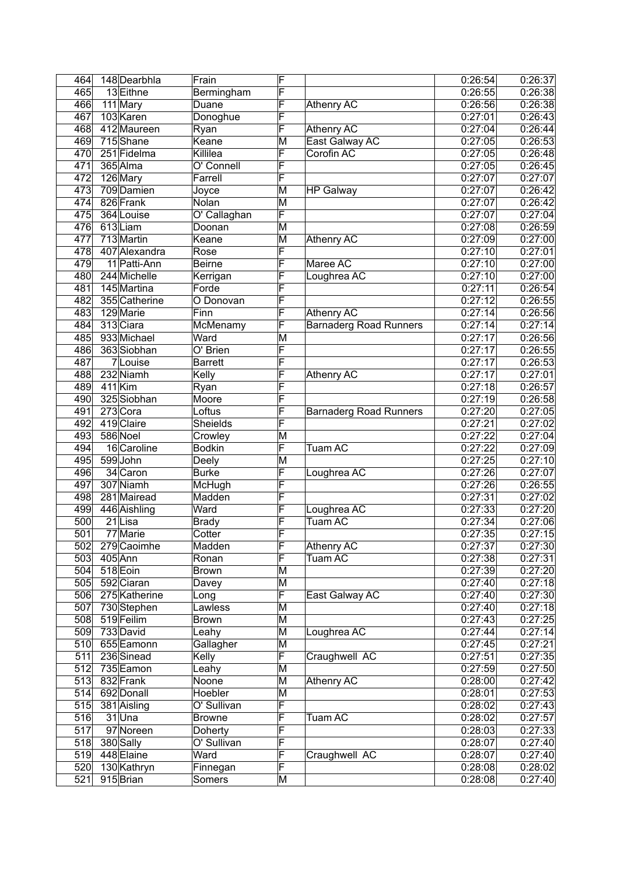| 464              | 148 Dearbhla  | Frain           | F                       |                               | 0:26:54 | 0:26:37 |
|------------------|---------------|-----------------|-------------------------|-------------------------------|---------|---------|
| 465              | 13 Eithne     | Bermingham      | F                       |                               | 0:26:55 | 0:26:38 |
| 466              | 111 Mary      | Duane           | F                       | <b>Athenry AC</b>             | 0:26:56 | 0:26:38 |
| 467              | 103 Karen     | Donoghue        | F                       |                               | 0:27:01 | 0:26:43 |
| 468              | 412 Maureen   | Ryan            | F                       | <b>Athenry AC</b>             | 0:27:04 | 0:26:44 |
| 469              | 715 Shane     | Keane           | M                       | East Galway AC                | 0:27:05 | 0:26:53 |
| 470              | 251 Fidelma   | Killilea        | F                       | Corofin AC                    | 0:27:05 | 0:26:48 |
| 471              | 365 Alma      | O' Connell      | F                       |                               | 0:27:05 | 0:26:45 |
| 472              | 126 Mary      | Farrell         | F                       |                               | 0:27:07 | 0:27:07 |
| 473              | 709 Damien    | Joyce           | $\overline{\mathsf{M}}$ | <b>HP Galway</b>              | 0:27:07 | 0:26:42 |
| 474              | 826 Frank     | Nolan           | $\overline{\mathsf{M}}$ |                               | 0:27:07 | 0:26:42 |
| 475              | 364 Louise    | O' Callaghan    | F                       |                               | 0:27:07 | 0:27:04 |
| 476              | 613Liam       | Doonan          | $\overline{\mathsf{M}}$ |                               | 0:27:08 | 0:26:59 |
| 477              | 713 Martin    | Keane           | M                       | Athenry AC                    | 0:27:09 | 0:27:00 |
| 478              | 407 Alexandra | Rose            | F                       |                               | 0:27:10 | 0:27:01 |
| 479              | 11 Patti-Ann  | <b>Beirne</b>   | F                       | Maree AC                      | 0:27:10 | 0:27:00 |
|                  |               |                 | F                       |                               | 0:27:10 |         |
| 480              | 244 Michelle  | Kerrigan        |                         | Loughrea AC                   |         | 0:27:00 |
| 481              | 145 Martina   | Forde           | F                       |                               | 0:27:11 | 0:26:54 |
| 482              | 355 Catherine | O Donovan       | F                       |                               | 0:27:12 | 0:26:55 |
| 483              | 129 Marie     | Finn            | F                       | <b>Athenry AC</b>             | 0:27:14 | 0:26:56 |
| 484              | 313 Ciara     | McMenamy        | F                       | <b>Barnaderg Road Runners</b> | 0:27:14 | 0:27:14 |
| 485              | 933 Michael   | Ward            | M                       |                               | 0:27:17 | 0:26:56 |
| 486              | 363 Siobhan   | O' Brien        | F                       |                               | 0:27:17 | 0:26:55 |
| 487              | 7Louise       | <b>Barrett</b>  | F                       |                               | 0:27:17 | 0:26:53 |
| 488              | 232 Niamh     | Kelly           | F                       | <b>Athenry AC</b>             | 0:27:17 | 0:27:01 |
| 489              | $411$ Kim     | Ryan            | F                       |                               | 0:27:18 | 0:26:57 |
| 490              | 325 Siobhan   | Moore           | F                       |                               | 0:27:19 | 0:26:58 |
| 491              | $273$ Cora    | Loftus          | F                       | <b>Barnaderg Road Runners</b> | 0:27:20 | 0:27:05 |
| 492              | 419 Claire    | <b>Sheields</b> | F                       |                               | 0:27:21 | 0:27:02 |
| 493              | 586 Noel      | Crowley         | M                       |                               | 0:27:22 | 0:27:04 |
| 494              | 16 Caroline   | <b>Bodkin</b>   | F                       | <b>Tuam AC</b>                | 0:27:22 | 0:27:09 |
| 495              | 599John       | Deely           | M                       |                               | 0:27:25 | 0:27:10 |
| 496              | 34 Caron      | <b>Burke</b>    | F                       | Loughrea AC                   | 0:27:26 | 0:27:07 |
| 497              | 307 Niamh     | McHugh          | F                       |                               | 0:27:26 | 0:26:55 |
| 498              | 281 Mairead   | Madden          | F                       |                               | 0:27:31 | 0:27:02 |
| 499              | 446 Aishling  | Ward            | F                       | Loughrea AC                   | 0:27:33 | 0:27:20 |
| 500              | $21$ Lisa     | <b>Brady</b>    | F                       | Tuam AC                       | 0:27:34 | 0:27:06 |
| $\overline{501}$ | 77 Marie      | Cotter          | F                       |                               | 0:27:35 | 0:27:15 |
| 502              | 279 Caoimhe   | Madden          | $\overline{\mathsf{F}}$ | <b>Athenry AC</b>             | 0:27:37 | 0:27:30 |
| 503              | $405$ Ann     | Ronan           | F                       | Tuam AC                       | 0:27:38 | 0:27:31 |
| 504              | 518 Eoin      | <b>Brown</b>    | M                       |                               | 0:27:39 | 0:27:20 |
| 505              | 592 Ciaran    | Davey           | $\overline{\mathsf{M}}$ |                               | 0:27:40 | 0:27:18 |
| 506              | 275 Katherine | Long            | F                       | East Galway AC                | 0:27:40 | 0:27:30 |
| 507              | 730 Stephen   | Lawless         | $\overline{\mathsf{M}}$ |                               | 0:27:40 | 0:27:18 |
| 508              | 519 Feilim    | <b>Brown</b>    | M                       |                               | 0:27:43 | 0:27:25 |
| 509              | 733 David     | Leahy           | M                       | Loughrea AC                   | 0:27:44 | 0:27:14 |
| 510              | 655 Eamonn    | Gallagher       | M                       |                               | 0:27:45 | 0:27:21 |
| 511              | 236 Sinead    | Kelly           | F                       | Craughwell AC                 | 0:27:51 | 0:27:35 |
| 512              | 735 Eamon     | Leahy           | M                       |                               | 0:27:59 | 0:27:50 |
| 513              | 832 Frank     | Noone           | $\overline{\mathsf{M}}$ | Athenry AC                    | 0:28:00 | 0:27:42 |
| 514              | 692 Donall    | Hoebler         | M                       |                               | 0:28:01 | 0:27:53 |
| 515              | 381 Aisling   | O' Sullivan     | F                       |                               | 0:28:02 | 0:27:43 |
| 516              | $31$ Una      | <b>Browne</b>   | F                       | Tuam AC                       | 0:28:02 | 0:27:57 |
| $\overline{517}$ | 97 Noreen     | Doherty         | F                       |                               | 0:28:03 | 0:27:33 |
| 518              | 380 Sally     | O' Sullivan     | F                       |                               | 0:28:07 | 0:27:40 |
| 519              | 448 Elaine    | Ward            | F                       | Craughwell AC                 | 0:28:07 | 0:27:40 |
| 520              | 130 Kathryn   | Finnegan        | F                       |                               | 0:28:08 | 0:28:02 |
| 521              | 915 Brian     | Somers          | M                       |                               | 0:28:08 | 0:27:40 |
|                  |               |                 |                         |                               |         |         |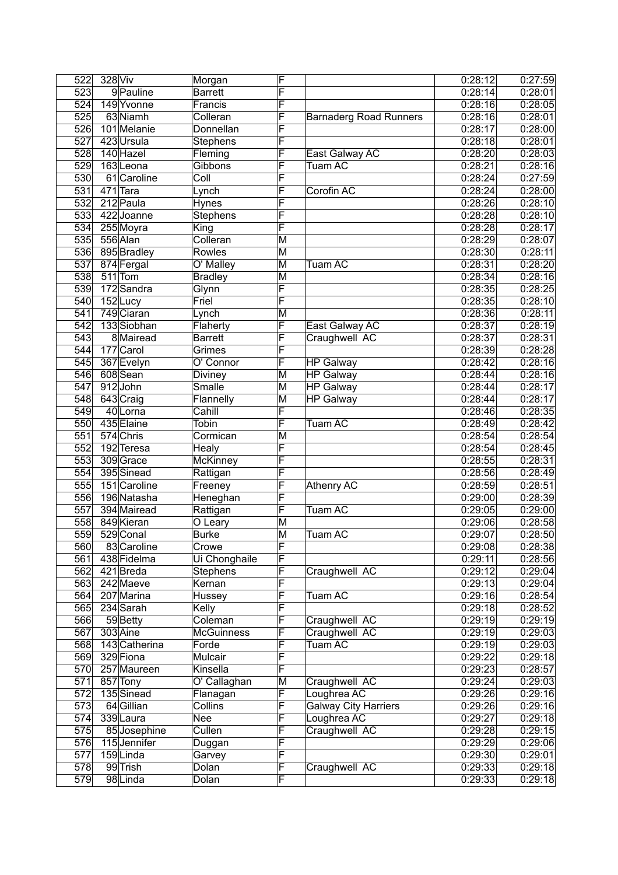| 522              | 328 Viv |                          | Morgan            | F                       |                               | 0:28:12 | 0:27:59            |
|------------------|---------|--------------------------|-------------------|-------------------------|-------------------------------|---------|--------------------|
| 523              |         | 9 Pauline                | <b>Barrett</b>    | F                       |                               | 0:28:14 | 0:28:01            |
| 524              |         | 149 Yvonne               | Francis           | F                       |                               | 0:28:16 | 0:28:05            |
| 525              |         | 63 Niamh                 | Colleran          | F                       | <b>Barnaderg Road Runners</b> | 0:28:16 | 0:28:01            |
| 526              |         | 101 Melanie              | Donnellan         | F                       |                               | 0:28:17 | 0:28:00            |
| 527              |         | 423 Ursula               | Stephens          | F                       |                               | 0:28:18 | 0:28:01            |
| 528              |         | 140 Hazel                | Fleming           | F                       | East Galway AC                | 0:28:20 | 0:28:03            |
| 529              |         | 163Leona                 | Gibbons           | F                       | Tuam AC                       | 0:28:21 | 0:28:16            |
| 530              |         | 61 Caroline              | Coll              | F                       |                               | 0:28:24 | 0:27:59            |
| 531              |         | 471 Tara                 | Lynch             | F                       | Corofin AC                    | 0:28:24 | 0:28:00            |
| 532              |         | 212 Paula                | <b>Hynes</b>      | F                       |                               | 0:28:26 | 0:28:10            |
| 533              |         | 422 Joanne               | Stephens          | F                       |                               | 0:28:28 | 0:28:10            |
| 534              |         | 255 Moyra                | King              | F                       |                               | 0:28:28 | 0:28:17            |
| 535              |         | 556 Alan                 | Colleran          | M                       |                               | 0:28:29 | 0:28:07            |
| 536              |         | 895 Bradley              | <b>Rowles</b>     | $\overline{\mathsf{M}}$ |                               | 0:28:30 | 0:28:11            |
| 537              |         |                          | O' Malley         | M                       |                               | 0:28:31 | 0:28:20            |
| 538              |         | 874 Fergal               |                   |                         | Tuam AC                       |         |                    |
|                  |         | $511$ Tom                | <b>Bradley</b>    | $\overline{\mathsf{M}}$ |                               | 0:28:34 | 0:28:16            |
| 539              |         | 172 Sandra               | Glynn             | F                       |                               | 0:28:35 | 0:28:25            |
| 540              |         | 152Lucy                  | Friel             | F                       |                               | 0:28:35 | 0:28:10            |
| 541              |         | 749 Ciaran               | Lynch             | $\overline{\mathsf{M}}$ |                               | 0:28:36 | 0:28:11            |
| 542              |         | 133 Siobhan              | Flaherty          | F                       | East Galway AC                | 0:28:37 | 0:28:19            |
| 543              |         | 8 Mairead                | <b>Barrett</b>    | F                       | Craughwell AC                 | 0:28:37 | 0:28:31            |
| 544              |         | 177 Carol                | Grimes            | F                       |                               | 0:28:39 | 0:28:28            |
| 545              |         | 367 Evelyn               | O' Connor         | F                       | <b>HP</b> Galway              | 0:28:42 | 0:28:16            |
| 546              |         | 608 Sean                 | Diviney           | M                       | <b>HP Galway</b>              | 0:28:44 | 0:28:16            |
| $\overline{547}$ |         | 912John                  | Smalle            | $\overline{\mathsf{M}}$ | <b>HP Galway</b>              | 0:28:44 | 0:28:17            |
| 548              |         | 643 Craig                | Flannelly         | $\overline{\mathsf{M}}$ | <b>HP Galway</b>              | 0:28:44 | 0:28:17            |
| 549              |         | 40Lorna                  | Cahill            | F                       |                               | 0:28:46 | 0:28:35            |
| 550              |         | 435 Elaine               | <b>Tobin</b>      | F                       | <b>Tuam AC</b>                | 0:28:49 | 0:28:42            |
| $\overline{551}$ |         | 574 Chris                | Cormican          | M                       |                               | 0:28:54 | 0:28:54            |
| 552              |         | 192 Teresa               | Healy             | F                       |                               | 0:28:54 | 0:28:45            |
| 553              |         | 309 Grace                | <b>McKinney</b>   | F                       |                               | 0:28:55 | 0:28:31            |
| 554              |         | 395 Sinead               | Rattigan          | F                       |                               | 0:28:56 | 0:28:49            |
| 555              |         | 151 Caroline             | Freeney           | F                       | <b>Athenry AC</b>             | 0:28:59 | 0:28:51            |
| 556              |         | 196 Natasha              | Heneghan          | F                       |                               | 0:29:00 | 0:28:39            |
| $\overline{557}$ |         | 394 Mairead              | Rattigan          | F                       | Tuam AC                       | 0:29:05 | 0:29:00            |
| 558              |         | 849 Kieran               | O Leary           | M                       |                               | 0:29:06 | 0:28:58            |
| 559              |         | 529 Conal                | <b>Burke</b>      | $\overline{\mathsf{M}}$ | Tuam AC                       | 0:29:07 | 0:28:50            |
| 560              |         | 83 Caroline              | Crowe             | F                       |                               | 0:29:08 | 0:28:38            |
| 561              |         | 438 Fidelma              | Ui Chonghaile     | F                       |                               | 0:29:11 | 0:28:56            |
| 562              |         | 421 Breda                | Stephens          | F                       | Craughwell AC                 | 0:29:12 | 0:29:04            |
| 563              |         | 242 Maeve                | Kernan            | F                       |                               | 0:29:13 | 0:29:04            |
| 564              |         | 207 Marina               | Hussey            | F                       | Tuam AC                       | 0:29:16 | 0:28:54            |
| 565              |         | 234 Sarah                | Kelly             | F                       |                               | 0:29:18 | 0:28:52            |
| 566              |         | 59Betty                  | Coleman           | F                       | Craughwell AC                 | 0:29:19 | 0:29:19            |
| 567              |         | 303 Aine                 | <b>McGuinness</b> | F                       | Craughwell AC                 | 0:29:19 | 0:29:03            |
| 568              |         | 143 Catherina            | Forde             | F                       | Tuam AC                       | 0:29:19 | 0:29:03            |
|                  |         |                          | Mulcair           | F                       |                               | 0:29:22 |                    |
| 569<br>570       |         | 329 Fiona<br>257 Maureen | Kinsella          | F                       |                               | 0:29:23 | 0:29:18<br>0:28:57 |
| 571              |         |                          |                   | M                       | Craughwell AC                 | 0:29:24 | 0:29:03            |
|                  |         | 857 Tony                 | O' Callaghan      |                         |                               |         |                    |
| 572              |         | 135 Sinead               | Flanagan          | F                       | Loughrea AC                   | 0:29:26 | 0:29:16            |
| 573              |         | 64 Gillian               | Collins           | F                       | Galway City Harriers          | 0:29:26 | 0:29:16            |
| 574              |         | 339Laura                 | Nee               | F                       | Loughrea AC                   | 0:29:27 | 0:29:18            |
| 575              |         | 85 Josephine             | Cullen            | F                       | Craughwell AC                 | 0:29:28 | 0:29:15            |
| 576              |         | 115 Jennifer             | Duggan            | F                       |                               | 0:29:29 | 0:29:06            |
| 577              |         | 159Linda                 | Garvey            | F                       |                               | 0:29:30 | 0:29:01            |
| 578              |         | 99 Trish                 | Dolan             | F                       | Craughwell AC                 | 0:29:33 | 0:29:18            |
| 579              |         | 98Linda                  | Dolan             | F                       |                               | 0:29:33 | 0:29:18            |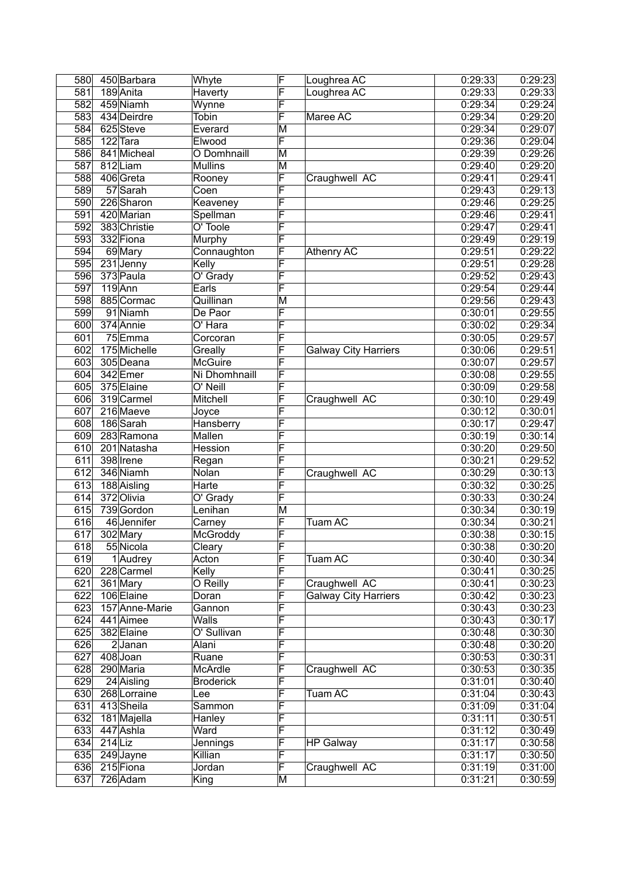| 580 |           | 450 Barbara    | Whyte                    | F                       | Loughrea AC                 | 0:29:33 | 0:29:23 |
|-----|-----------|----------------|--------------------------|-------------------------|-----------------------------|---------|---------|
| 581 |           | 189 Anita      | Haverty                  | F                       | Loughrea AC                 | 0:29:33 | 0:29:33 |
| 582 |           | 459 Niamh      | Wynne                    | F                       |                             | 0:29:34 | 0:29:24 |
| 583 |           | 434 Deirdre    | Tobin                    | F                       | Maree AC                    | 0:29:34 | 0:29:20 |
| 584 |           | 625Steve       | Everard                  | $\overline{\mathsf{M}}$ |                             | 0:29:34 | 0:29:07 |
| 585 |           | 122 Tara       | Elwood                   | F                       |                             | 0:29:36 | 0:29:04 |
| 586 |           | 841 Micheal    | O Domhnaill              | $\overline{\mathsf{M}}$ |                             | 0:29:39 | 0:29:26 |
| 587 |           | 812Liam        | <b>Mullins</b>           | M                       |                             | 0:29:40 | 0:29:20 |
| 588 |           | 406 Greta      | Rooney                   | F                       | Craughwell AC               | 0:29:41 | 0:29:41 |
| 589 |           | 57 Sarah       | Coen                     | F                       |                             | 0:29:43 | 0:29:13 |
| 590 |           | 226 Sharon     | Keaveney                 | F                       |                             | 0:29:46 | 0:29:25 |
| 591 |           | 420 Marian     | Spellman                 | F                       |                             | 0:29:46 | 0:29:41 |
| 592 |           | 383 Christie   | O' Toole                 | F                       |                             | 0:29:47 | 0:29:41 |
| 593 |           | 332 Fiona      | Murphy                   | F                       |                             | 0:29:49 | 0:29:19 |
| 594 |           | 69 Mary        | Connaughton              | F                       | <b>Athenry AC</b>           | 0:29:51 | 0:29:22 |
|     |           |                |                          | F                       |                             |         | 0:29:28 |
| 595 |           | $231$ Jenny    | Kelly                    | F                       |                             | 0:29:51 |         |
| 596 |           | 373 Paula      | O' Grady                 |                         |                             | 0:29:52 | 0:29:43 |
| 597 |           | $119$ Ann      | Earls                    | F                       |                             | 0:29:54 | 0:29:44 |
| 598 |           | 885 Cormac     | Quillinan                | M                       |                             | 0:29:56 | 0:29:43 |
| 599 |           | 91 Niamh       | De Paor                  | F                       |                             | 0:30:01 | 0:29:55 |
| 600 |           | 374 Annie      | O' Hara                  | F                       |                             | 0:30:02 | 0:29:34 |
| 601 |           | 75 Emma        | Corcoran                 | F                       |                             | 0:30:05 | 0:29:57 |
| 602 |           | 175 Michelle   | Greally                  | F                       | <b>Galway City Harriers</b> | 0:30:06 | 0:29:51 |
| 603 |           | 305 Deana      | <b>McGuire</b>           | F                       |                             | 0:30:07 | 0:29:57 |
| 604 |           | 342 Emer       | Ni Dhomhnaill            | F                       |                             | 0:30:08 | 0:29:55 |
| 605 |           | 375 Elaine     | O' Neill                 | F                       |                             | 0:30:09 | 0:29:58 |
| 606 |           | 319 Carmel     | Mitchell                 | F                       | Craughwell AC               | 0:30:10 | 0:29:49 |
| 607 |           | 216 Maeve      | Joyce                    | F                       |                             | 0:30:12 | 0:30:01 |
| 608 |           | 186 Sarah      | Hansberry                | F                       |                             | 0:30:17 | 0:29:47 |
| 609 |           | 283 Ramona     | <b>Mallen</b>            | F                       |                             | 0:30:19 | 0:30:14 |
| 610 |           | 201 Natasha    | <b>Hession</b>           | F                       |                             | 0:30:20 | 0:29:50 |
| 611 |           | 398 Irene      | Regan                    | F                       |                             | 0:30:21 | 0:29:52 |
| 612 |           | 346 Niamh      | Nolan                    | F                       | Craughwell AC               | 0:30:29 | 0:30:13 |
| 613 |           | 188 Aisling    | Harte                    | F                       |                             | 0:30:32 | 0:30:25 |
| 614 |           | 372 Olivia     | O' Grady                 | F                       |                             | 0:30:33 | 0:30:24 |
| 615 |           | 739 Gordon     | Lenihan                  | M                       |                             | 0:30:34 | 0:30:19 |
| 616 |           | 46 Jennifer    | Carney                   | F                       | Tuam AC                     | 0:30:34 | 0:30:21 |
| 617 |           | 302 Mary       | McGroddy                 | F                       |                             | 0:30:38 | 0:30:15 |
| 618 |           | 55 Nicola      | Cleary                   | F                       |                             | 0:30:38 | 0:30:20 |
| 619 |           | $1$ Audrey     | Acton                    | F                       | Tuam AC                     | 0:30:40 | 0:30:34 |
| 620 |           | 228 Carmel     | Kelly                    | F                       |                             | 0:30:41 | 0:30:25 |
| 621 |           | 361 Mary       | O Reilly                 | F                       | Craughwell AC               | 0:30:41 | 0:30:23 |
| 622 |           | 106 Elaine     | Doran                    | F                       | <b>Galway City Harriers</b> | 0:30:42 | 0:30:23 |
| 623 |           | 157 Anne-Marie | Gannon                   | F                       |                             | 0:30:43 | 0:30:23 |
| 624 |           | 441 Aimee      | <b>Walls</b>             | F                       |                             | 0:30:43 | 0:30:17 |
| 625 |           | 382 Elaine     | $\overline{O'}$ Sullivan | F                       |                             | 0:30:48 | 0:30:30 |
| 626 |           | $2$ Janan      | Alani                    | F                       |                             | 0:30:48 | 0:30:20 |
| 627 |           | 408Joan        | Ruane                    | F                       |                             | 0:30:53 | 0:30:31 |
| 628 |           | 290 Maria      | <b>McArdle</b>           | F                       | Craughwell AC               | 0:30:53 | 0:30:35 |
| 629 |           | 24 Aisling     | <b>Broderick</b>         | F                       |                             | 0:31:01 | 0:30:40 |
| 630 |           | 268 Lorraine   | Lee                      | F                       | Tuam AC                     | 0:31:04 | 0:30:43 |
| 631 |           | 413 Sheila     | Sammon                   | F                       |                             | 0:31:09 | 0:31:04 |
| 632 |           |                |                          | F                       |                             | 0:31:11 | 0:30:51 |
|     |           | 181 Majella    | Hanley                   |                         |                             |         |         |
| 633 |           | 447 Ashla      | Ward                     | F<br>F                  |                             | 0:31:12 | 0:30:49 |
| 634 | $214$ Liz |                | Jennings                 | F                       | <b>HP Galway</b>            | 0:31:17 | 0:30:58 |
| 635 |           | 249 Jayne      | Killian                  | F                       |                             | 0:31:17 | 0:30:50 |
| 636 |           | 215 Fiona      | Jordan                   |                         | Craughwell AC               | 0:31:19 | 0:31:00 |
| 637 |           | 726 Adam       | King                     | $\overline{\mathsf{M}}$ |                             | 0:31:21 | 0:30:59 |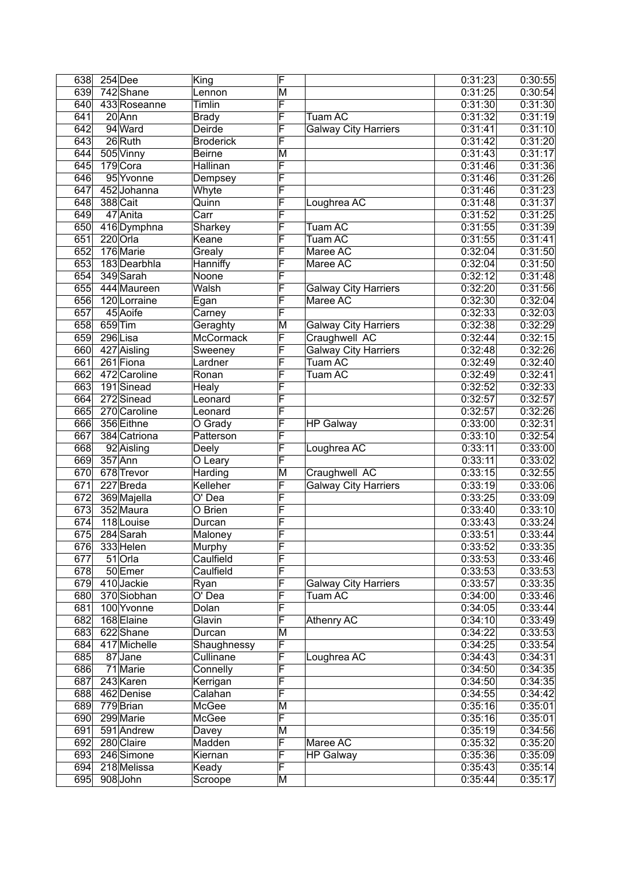| 638 |           | $254$ Dee    | King                 | F                       |                             | 0:31:23 | 0:30:55            |
|-----|-----------|--------------|----------------------|-------------------------|-----------------------------|---------|--------------------|
| 639 |           | 742 Shane    | Lennon               | $\overline{\mathsf{M}}$ |                             | 0:31:25 | 0:30:54            |
| 640 |           | 433 Roseanne | <b>Timlin</b>        | F                       |                             | 0:31:30 | 0:31:30            |
| 641 |           | 20 Ann       | <b>Brady</b>         | F                       | Tuam AC                     | 0:31:32 | 0:31:19            |
| 642 |           | 94 Ward      | Deirde               | F                       | <b>Galway City Harriers</b> | 0:31:41 | 0:31:10            |
| 643 |           | 26 Ruth      | <b>Broderick</b>     | F                       |                             | 0:31:42 | 0:31:20            |
| 644 |           | 505 Vinny    | <b>Beirne</b>        | M                       |                             | 0:31:43 | 0:31:17            |
| 645 |           | 179 Cora     | Hallinan             | F                       |                             | 0:31:46 | 0:31:36            |
| 646 |           | 95 Yvonne    | Dempsey              | F                       |                             | 0:31:46 | 0:31:26            |
| 647 |           | 452 Johanna  | Whyte                | F                       |                             | 0:31:46 | 0:31:23            |
| 648 |           | 388 Cait     | Quinn                | F                       | Loughrea AC                 | 0:31:48 | 0:31:37            |
| 649 |           | 47 Anita     | Carr                 | F                       |                             | 0:31:52 | 0:31:25            |
| 650 |           | 416 Dymphna  | Sharkey              | F                       | Tuam AC                     | 0:31:55 | 0:31:39            |
| 651 |           | $220$ Orla   | Keane                | F                       | Tuam AC                     | 0:31:55 | 0:31:41            |
| 652 |           | 176 Marie    | Grealy               | F                       | Maree AC                    | 0:32:04 | 0:31:50            |
| 653 |           | 183 Dearbhla | Hanniffy             | F                       | Maree AC                    | 0:32:04 | 0:31:50            |
| 654 |           | 349 Sarah    | Noone                | F                       |                             | 0:32:12 | 0:31:48            |
| 655 |           | 444 Maureen  | Walsh                | F                       | <b>Galway City Harriers</b> | 0:32:20 | 0:31:56            |
| 656 |           | 120 Lorraine | Egan                 | F                       | Maree AC                    | 0:32:30 | 0:32:04            |
| 657 |           | 45 Aoife     | Carney               | F                       |                             | 0:32:33 | 0:32:03            |
| 658 | $659$ Tim |              | Geraghty             | M                       | <b>Galway City Harriers</b> | 0:32:38 | 0:32:29            |
| 659 |           | 296 Lisa     | McCormack            | F                       | Craughwell AC               | 0:32:44 | 0:32:15            |
| 660 |           | 427 Aisling  | Sweeney              | F                       | <b>Galway City Harriers</b> | 0:32:48 | 0:32:26            |
| 661 |           | 261 Fiona    | Lardner              | F                       | Tuam AC                     | 0:32:49 | 0:32:40            |
| 662 |           | 472 Caroline | Ronan                | F                       | Tuam AC                     | 0:32:49 | 0:32:41            |
| 663 |           | 191Sinead    | Healy                | F                       |                             | 0:32:52 | 0:32:33            |
| 664 |           | 272 Sinead   | Leonard              | F                       |                             | 0:32:57 | 0:32:57            |
| 665 |           | 270 Caroline | Leonard              | F                       |                             | 0:32:57 | 0:32:26            |
| 666 |           | 356 Eithne   | $\overline{O}$ Grady | F                       | <b>HP Galway</b>            | 0:33:00 | 0:32:31            |
| 667 |           | 384 Catriona | Patterson            | F                       |                             | 0:33:10 | 0:32:54            |
| 668 |           | 92 Aisling   | Deely                | F                       | Loughrea AC                 | 0:33:11 | 0:33:00            |
| 669 |           | $357$ Ann    | O Leary              | F                       |                             | 0:33:11 | 0:33:02            |
| 670 |           | 678 Trevor   | Harding              | M                       | Craughwell AC               | 0:33:15 | 0:32:55            |
| 671 |           | 227 Breda    | Kelleher             | F                       | <b>Galway City Harriers</b> | 0:33:19 | 0:33:06            |
| 672 |           | 369 Majella  | $\overline{O}$ Dea   | F                       |                             | 0:33:25 | 0:33:09            |
| 673 |           | 352 Maura    | O Brien              | F                       |                             | 0:33:40 | 0:33:10            |
| 674 |           | 118 Louise   | Durcan               | F                       |                             | 0:33:43 | 0:33:24            |
| 675 |           | 284 Sarah    | Maloney              | F                       |                             | 0:33:51 | 0:33:44            |
| 676 |           | 333 Helen    | Murphy               | F                       |                             | 0:33:52 | 0:33:35            |
| 677 |           | $51$ Orla    | Caulfield            | $\overline{\mathsf{F}}$ |                             | 0:33:53 | 0:33:46            |
| 678 |           | 50 Emer      | Caulfield            | F                       |                             | 0:33:53 | 0:33:53            |
| 679 |           | 410 Jackie   | Ryan                 | F                       | <b>Galway City Harriers</b> | 0:33:57 | 0:33:35            |
| 680 |           | 370 Siobhan  | O' Dea               | F                       | Tuam AC                     | 0:34:00 | 0:33:46            |
| 681 |           | 100 Yvonne   | Dolan                | F                       |                             | 0:34:05 | 0:33:44            |
| 682 |           | 168 Elaine   | Glavin               | F                       | <b>Athenry AC</b>           | 0:34:10 | 0:33:49            |
| 683 |           | 622Shane     | Durcan               | M                       |                             | 0:34:22 | 0:33:53            |
| 684 |           | 417 Michelle | Shaughnessy          | F                       |                             | 0:34:25 | 0:33:54            |
| 685 |           | 87Jane       | Cullinane            | F                       | Loughrea AC                 | 0:34:43 | 0:34:31            |
| 686 |           | 71 Marie     | Connelly             | F                       |                             | 0:34:50 | 0:34:35            |
| 687 |           | 243 Karen    | Kerrigan             | F                       |                             | 0:34:50 | 0:34:35            |
| 688 |           | 462 Denise   | Calahan              | F                       |                             | 0:34:55 | 0:34:42            |
| 689 |           | 779 Brian    | McGee                | $\overline{\mathsf{M}}$ |                             | 0:35:16 | 0:35:01            |
| 690 |           | 299 Marie    | McGee                | F                       |                             | 0:35:16 | 0:35:01            |
| 691 |           | 591 Andrew   |                      | M                       |                             | 0:35:19 | 0:34:56            |
| 692 |           | 280 Claire   | Davey<br>Madden      | F                       | Maree AC                    | 0:35:32 | 0:35:20            |
| 693 |           | 246 Simone   | Kiernan              | F                       |                             | 0:35:36 |                    |
| 694 |           | 218 Melissa  |                      | F                       | <b>HP Galway</b>            | 0:35:43 | 0:35:09<br>0:35:14 |
|     |           |              | Keady                |                         |                             |         |                    |
| 695 |           | 908 John     | Scroope              | M                       |                             | 0:35:44 | 0:35:17            |